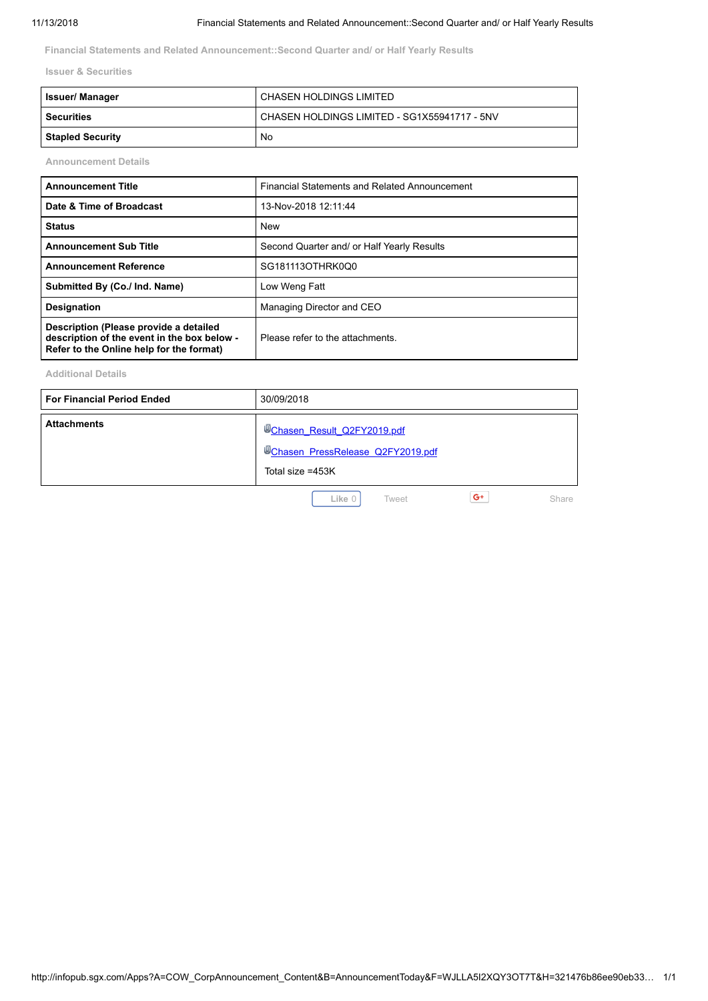**Financial Statements and Related Announcement::Second Quarter and/ or Half Yearly Results**

**Issuer & Securities**

| <b>Issuer/ Manager</b>  | CHASEN HOLDINGS LIMITED                      |
|-------------------------|----------------------------------------------|
| Securities              | CHASEN HOLDINGS LIMITED - SG1X55941717 - 5NV |
| <b>Stapled Security</b> | No                                           |

**Announcement Details**

| <b>Announcement Title</b>                                                                                                         | Financial Statements and Related Announcement |  |  |  |
|-----------------------------------------------------------------------------------------------------------------------------------|-----------------------------------------------|--|--|--|
| Date & Time of Broadcast                                                                                                          | 13-Nov-2018 12:11:44                          |  |  |  |
| <b>Status</b>                                                                                                                     | New                                           |  |  |  |
| <b>Announcement Sub Title</b>                                                                                                     | Second Quarter and/ or Half Yearly Results    |  |  |  |
| <b>Announcement Reference</b>                                                                                                     | SG181113OTHRK0Q0                              |  |  |  |
| Submitted By (Co./ Ind. Name)                                                                                                     | Low Weng Fatt                                 |  |  |  |
| <b>Designation</b>                                                                                                                | Managing Director and CEO                     |  |  |  |
| Description (Please provide a detailed<br>description of the event in the box below -<br>Refer to the Online help for the format) | Please refer to the attachments.              |  |  |  |

**Additional Details**

| <b>For Financial Period Ended</b> | 30/09/2018                                                                                                     |
|-----------------------------------|----------------------------------------------------------------------------------------------------------------|
| <b>Attachments</b>                | <sup>10</sup> Chasen Result Q2FY2019.pdf<br><sup>10</sup> Chasen PressRelease Q2FY2019.pdf<br>Total size =453K |

Like 0 [Tweet](https://twitter.com/intent/tweet?original_referer=http%3A%2F%2Finfopub.sgx.com%2FApps%3FA%3DCOW_CorpAnnouncement_Content%26B%3DAnnouncementToday%26F%3DWJLLA5I2XQY3OT7T%26H%3D321476b86ee90eb339cdbd5ec89b233ad787a706fc39bd91f91274222b4f3af6&ref_src=twsrc%5Etfw&text=CHASEN%20HOLDINGS%20LIMITED%20%3A%2013-Nov-2018%20%3A%20Financial%20Statements%20and%20Related%20Announcement%3A%3ASecond%20Quarter%20and%2F%20or%20Half%20Yearly%20Results&tw_p=tweetbutton&url=http%3A%2F%2Finfopub.sgx.com%2FApps%3FA%3DCOW_CorpAnnouncement_Content%26B%3DAnnouncementToday%26F%3DWJLLA5I2XQY3OT7T%26H%3D321476b86ee90eb339cdbd5ec89b233ad787a706fc39bd91f91274222b4f3af6%23.W-pPXRrCnQQ.twitter) **G+** Share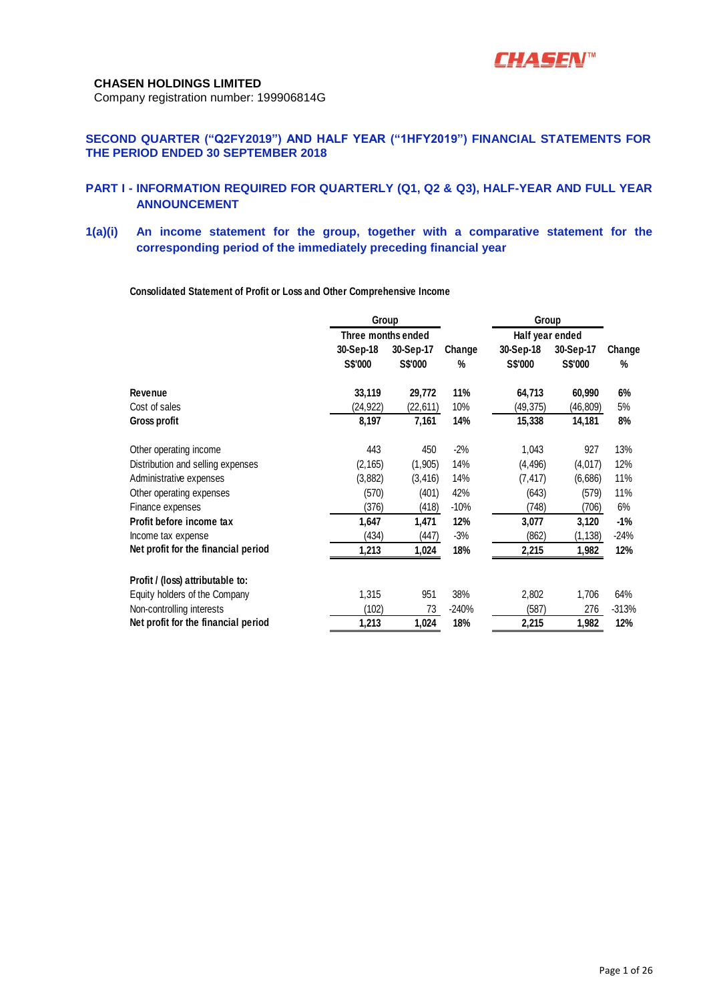

Company registration number: 199906814G

# **SECOND QUARTER ("Q2FY2019") AND HALF YEAR ("1HFY2019") FINANCIAL STATEMENTS FOR THE PERIOD ENDED 30 SEPTEMBER 2018**

## **PART I - INFORMATION REQUIRED FOR QUARTERLY (Q1, Q2 & Q3), HALF-YEAR AND FULL YEAR ANNOUNCEMENT**

**1(a)(i) An income statement for the group, together with a comparative statement for the corresponding period of the immediately preceding financial year**

**Consolidated Statement of Profit or Loss and Other Comprehensive Income**

|                                     | Group          |                    |         | Group           |                |         |
|-------------------------------------|----------------|--------------------|---------|-----------------|----------------|---------|
|                                     |                | Three months ended |         | Half year ended |                |         |
|                                     | 30-Sep-18      | 30-Sep-17          | Change  | 30-Sep-18       | 30-Sep-17      | Change  |
|                                     | <b>S\$'000</b> | S\$'000            | %       | S\$'000         | <b>S\$'000</b> | %       |
| Revenue                             | 33,119         | 29,772             | 11%     | 64,713          | 60,990         | 6%      |
| Cost of sales                       | (24,922)       | (22,611)           | 10%     | (49,375)        | (46,809)       | 5%      |
| Gross profit                        | 8,197          | 7,161              | 14%     | 15,338          | 14,181         | 8%      |
| Other operating income              | 443            | 450                | $-2%$   | 1,043           | 927            | 13%     |
| Distribution and selling expenses   | (2, 165)       | (1,905)            | 14%     | (4, 496)        | (4,017)        | 12%     |
| Administrative expenses             | (3,882)        | (3, 416)           | 14%     | (7, 417)        | (6,686)        | 11%     |
| Other operating expenses            | (570)          | (401)              | 42%     | (643)           | (579)          | 11%     |
| Finance expenses                    | (376)          | (418)              | $-10%$  | (748)           | (706)          | 6%      |
| Profit before income tax            | 1,647          | 1,471              | 12%     | 3,077           | 3,120          | $-1%$   |
| Income tax expense                  | (434)          | (447)              | $-3%$   | (862)           | (1, 138)       | $-24%$  |
| Net profit for the financial period | 1,213          | 1,024              | 18%     | 2,215           | 1,982          | 12%     |
| Profit / (loss) attributable to:    |                |                    |         |                 |                |         |
| Equity holders of the Company       | 1,315          | 951                | 38%     | 2,802           | 1,706          | 64%     |
| Non-controlling interests           | (102)          | 73                 | $-240%$ | (587)           | 276            | $-313%$ |
| Net profit for the financial period | 1,213          | 1,024              | 18%     | 2,215           | 1,982          | 12%     |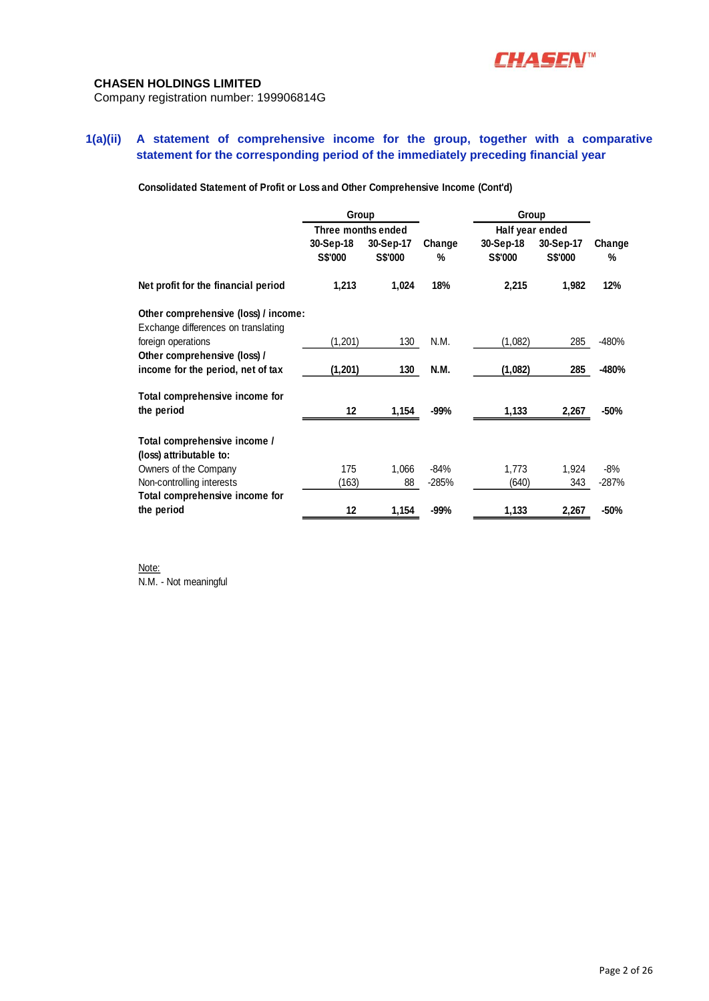

Company registration number: 199906814G

# **1(a)(ii) A statement of comprehensive income for the group, together with a comparative statement for the corresponding period of the immediately preceding financial year**

**Consolidated Statement of Profit or Loss and Other Comprehensive Income (Cont'd)**

|                                      | Group<br>Three months ended |                             |             |                             | Group                       |             |
|--------------------------------------|-----------------------------|-----------------------------|-------------|-----------------------------|-----------------------------|-------------|
|                                      |                             |                             |             | Half year ended             |                             |             |
|                                      | 30-Sep-18<br><b>S\$'000</b> | 30-Sep-17<br><b>S\$'000</b> | Change<br>% | 30-Sep-18<br><b>S\$'000</b> | 30-Sep-17<br><b>S\$'000</b> | Change<br>% |
| Net profit for the financial period  | 1,213                       | 1,024                       | 18%         | 2,215                       | 1,982                       | 12%         |
| Other comprehensive (loss) / income: |                             |                             |             |                             |                             |             |
| Exchange differences on translating  |                             |                             |             |                             |                             |             |
| foreign operations                   | (1,201)                     | 130                         | N.M.        | (1,082)                     | 285                         | -480%       |
| Other comprehensive (loss) /         |                             |                             |             |                             |                             |             |
| income for the period, net of tax    | (1, 201)                    | 130                         | <b>N.M.</b> | (1,082)                     | 285                         | -480%       |
| Total comprehensive income for       |                             |                             |             |                             |                             |             |
| the period                           | 12                          | 1,154                       | $-99%$      | 1,133                       | 2,267                       | $-50%$      |
| Total comprehensive income /         |                             |                             |             |                             |                             |             |
| (loss) attributable to:              |                             |                             |             |                             |                             |             |
| Owners of the Company                | 175                         | 1.066                       | -84%        | 1,773                       | 1,924                       | -8%         |
| Non-controlling interests            | (163)                       | 88                          | $-285%$     | (640)                       | 343                         | $-287%$     |
| Total comprehensive income for       |                             |                             |             |                             |                             |             |
| the period                           | 12                          | 1,154                       | $-99%$      | 1,133                       | 2,267                       | $-50%$      |

Note: N.M. - Not meaningful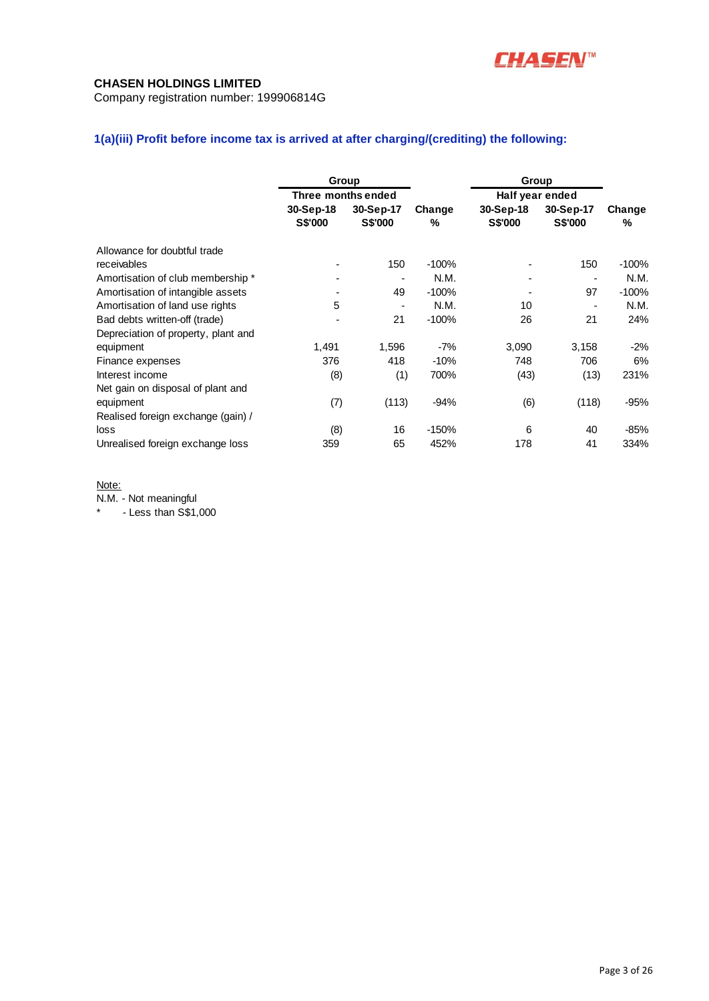

Company registration number: 199906814G

# **1(a)(iii) Profit before income tax is arrived at after charging/(crediting) the following:**

|                                     | Group              |                |         | Group           |                |         |
|-------------------------------------|--------------------|----------------|---------|-----------------|----------------|---------|
|                                     | Three months ended |                |         | Half year ended |                |         |
|                                     | 30-Sep-18          | 30-Sep-17      | Change  | 30-Sep-18       | 30-Sep-17      | Change  |
|                                     | <b>S\$'000</b>     | <b>S\$'000</b> | %       | <b>S\$'000</b>  | <b>S\$'000</b> | %       |
| Allowance for doubtful trade        |                    |                |         |                 |                |         |
| receivables                         |                    | 150            | $-100%$ |                 | 150            | $-100%$ |
| Amortisation of club membership *   |                    |                | N.M.    |                 | ٠              | N.M.    |
| Amortisation of intangible assets   |                    | 49             | $-100%$ |                 | 97             | $-100%$ |
| Amortisation of land use rights     | 5                  |                | N.M.    | 10              |                | N.M.    |
| Bad debts written-off (trade)       |                    | 21             | $-100%$ | 26              | 21             | 24%     |
| Depreciation of property, plant and |                    |                |         |                 |                |         |
| equipment                           | 1,491              | 1,596          | $-7%$   | 3,090           | 3,158          | $-2%$   |
| Finance expenses                    | 376                | 418            | $-10%$  | 748             | 706            | 6%      |
| Interest income                     | (8)                | (1)            | 700%    | (43)            | (13)           | 231%    |
| Net gain on disposal of plant and   |                    |                |         |                 |                |         |
| equipment                           | (7)                | (113)          | $-94%$  | (6)             | (118)          | $-95%$  |
| Realised foreign exchange (gain) /  |                    |                |         |                 |                |         |
| loss                                | (8)                | 16             | $-150%$ | 6               | 40             | $-85%$  |
| Unrealised foreign exchange loss    | 359                | 65             | 452%    | 178             | 41             | 334%    |

## Note:

N.M. - Not meaningful

\* - Less than S\$1,000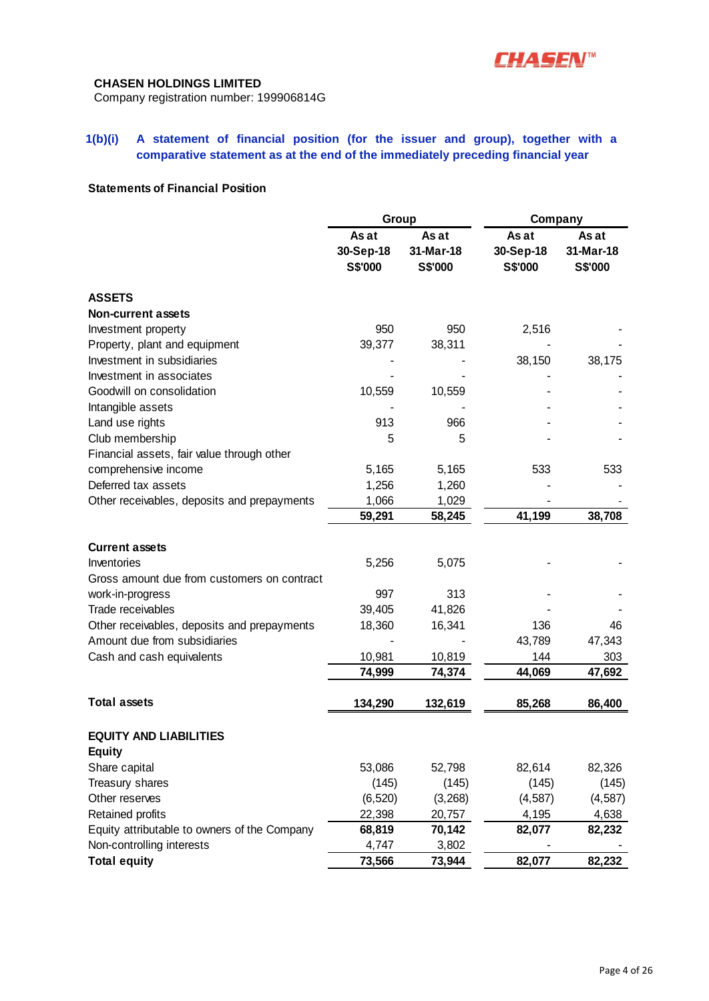

Company registration number: 199906814G

# **1(b)(i) A statement of financial position (for the issuer and group), together with a comparative statement as at the end of the immediately preceding financial year**

# **Statements of Financial Position**

|                                                | Group                         |                               | Company                              |                               |
|------------------------------------------------|-------------------------------|-------------------------------|--------------------------------------|-------------------------------|
|                                                | As at<br>30-Sep-18<br>S\$'000 | As at<br>31-Mar-18<br>S\$'000 | As at<br>30-Sep-18<br><b>S\$'000</b> | As at<br>31-Mar-18<br>S\$'000 |
| <b>ASSETS</b>                                  |                               |                               |                                      |                               |
| <b>Non-current assets</b>                      |                               |                               |                                      |                               |
| Investment property                            | 950                           | 950                           | 2,516                                |                               |
| Property, plant and equipment                  | 39,377                        | 38,311                        |                                      |                               |
| Investment in subsidiaries                     |                               |                               | 38,150                               | 38,175                        |
| Investment in associates                       |                               |                               |                                      |                               |
| Goodwill on consolidation                      | 10,559                        | 10,559                        |                                      |                               |
| Intangible assets                              |                               |                               |                                      |                               |
| Land use rights                                | 913                           | 966                           |                                      |                               |
| Club membership                                | 5                             | 5                             |                                      |                               |
| Financial assets, fair value through other     |                               |                               |                                      |                               |
| comprehensive income                           | 5,165                         | 5,165                         | 533                                  | 533                           |
| Deferred tax assets                            | 1,256                         | 1,260                         |                                      |                               |
| Other receivables, deposits and prepayments    | 1,066                         | 1,029                         |                                      |                               |
|                                                | 59,291                        | 58,245                        | 41,199                               | 38,708                        |
| <b>Current assets</b>                          |                               |                               |                                      |                               |
| Inventories                                    | 5,256                         | 5,075                         |                                      |                               |
| Gross amount due from customers on contract    |                               |                               |                                      |                               |
| work-in-progress                               | 997                           | 313                           |                                      |                               |
| Trade receivables                              | 39,405                        | 41,826                        |                                      |                               |
| Other receivables, deposits and prepayments    | 18,360                        | 16,341                        | 136                                  | 46                            |
| Amount due from subsidiaries                   |                               |                               | 43,789                               | 47,343                        |
| Cash and cash equivalents                      | 10,981                        | 10,819                        | 144                                  | 303                           |
|                                                | 74,999                        | 74,374                        | 44,069                               | 47,692                        |
| <b>Total assets</b>                            | 134,290                       |                               | 85,268                               | 86,400                        |
|                                                |                               | 132,619                       |                                      |                               |
| <b>EQUITY AND LIABILITIES</b><br><b>Equity</b> |                               |                               |                                      |                               |
| Share capital                                  | 53,086                        | 52,798                        | 82,614                               | 82,326                        |
| Treasury shares                                | (145)                         | (145)                         | (145)                                | (145)                         |
| Other reserves                                 | (6, 520)                      | (3,268)                       | (4, 587)                             | (4, 587)                      |
| Retained profits                               | 22,398                        | 20,757                        | 4,195                                | 4,638                         |
| Equity attributable to owners of the Company   | 68,819                        | 70,142                        | 82,077                               | 82,232                        |
| Non-controlling interests                      | 4,747                         | 3,802                         |                                      |                               |
| <b>Total equity</b>                            | 73,566                        | 73,944                        | 82,077                               | 82,232                        |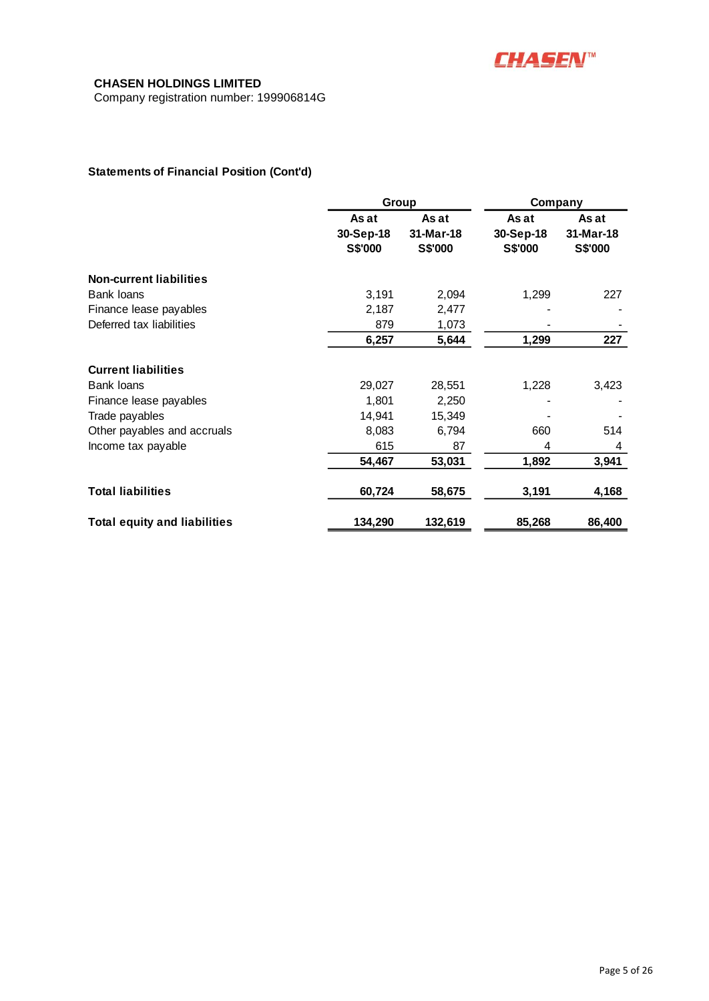

Company registration number: 199906814G

# **Statements of Financial Position (Cont'd)**

|                                     | Group                         |                               |                               | Company                       |  |
|-------------------------------------|-------------------------------|-------------------------------|-------------------------------|-------------------------------|--|
|                                     | As at<br>30-Sep-18<br>S\$'000 | As at<br>31-Mar-18<br>S\$'000 | As at<br>30-Sep-18<br>S\$'000 | As at<br>31-Mar-18<br>S\$'000 |  |
| <b>Non-current liabilities</b>      |                               |                               |                               |                               |  |
| <b>Bank loans</b>                   | 3,191                         | 2,094                         | 1,299                         | 227                           |  |
| Finance lease payables              | 2,187                         | 2,477                         |                               |                               |  |
| Deferred tax liabilities            | 879                           | 1,073                         |                               |                               |  |
|                                     | 6,257                         | 5,644                         | 1,299                         | 227                           |  |
| <b>Current liabilities</b>          |                               |                               |                               |                               |  |
| Bank loans                          | 29,027                        | 28,551                        | 1,228                         | 3,423                         |  |
| Finance lease payables              | 1,801                         | 2,250                         |                               |                               |  |
| Trade payables                      | 14,941                        | 15,349                        |                               |                               |  |
| Other payables and accruals         | 8,083                         | 6,794                         | 660                           | 514                           |  |
| Income tax payable                  | 615                           | 87                            | 4                             | 4                             |  |
|                                     | 54,467                        | 53,031                        | 1,892                         | 3,941                         |  |
| <b>Total liabilities</b>            | 60,724                        | 58,675                        | 3,191                         | 4,168                         |  |
| <b>Total equity and liabilities</b> | 134,290                       | 132,619                       | 85,268                        | 86,400                        |  |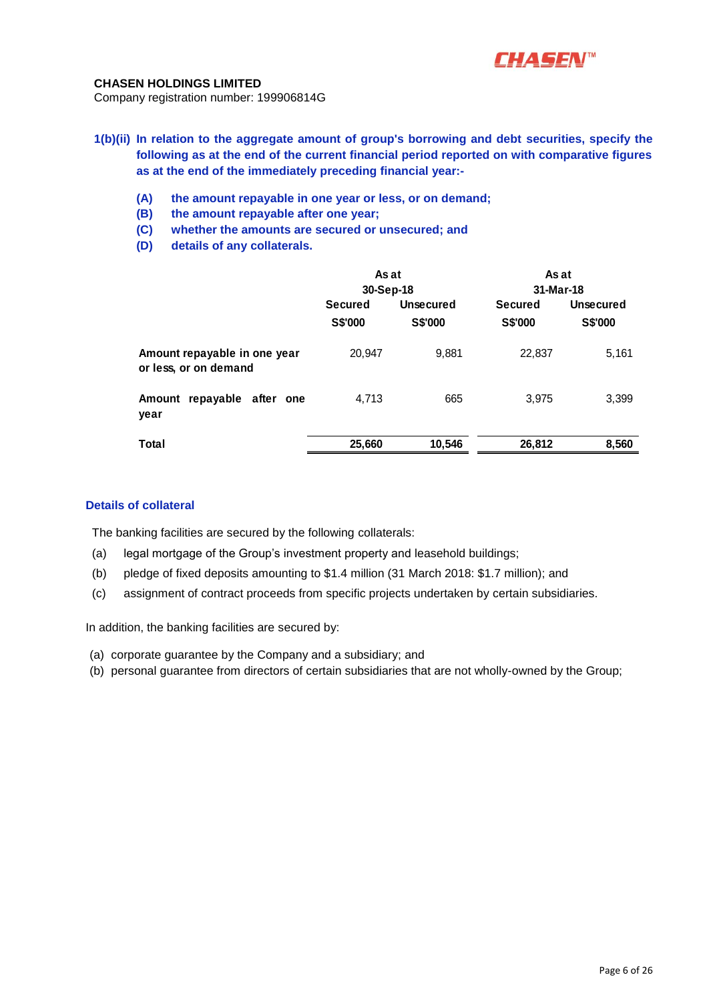

Company registration number: 199906814G

- **1(b)(ii) In relation to the aggregate amount of group's borrowing and debt securities, specify the following as at the end of the current financial period reported on with comparative figures as at the end of the immediately preceding financial year:-**
	- **(A) the amount repayable in one year or less, or on demand;**
	- **(B) the amount repayable after one year;**
	- **(C) whether the amounts are secured or unsecured; and**
	- **(D) details of any collaterals.**

|                                                       | As at<br>30-Sep-18               |                             | As at<br>31-Mar-18               |                      |  |
|-------------------------------------------------------|----------------------------------|-----------------------------|----------------------------------|----------------------|--|
|                                                       | <b>Secured</b><br><b>S\$'000</b> | <b>Unsecured</b><br>S\$'000 | <b>Secured</b><br><b>S\$'000</b> | Unsecured<br>S\$'000 |  |
| Amount repayable in one year<br>or less, or on demand | 20,947                           | 9,881                       | 22,837                           | 5,161                |  |
| repayable after one<br>Amount<br>year                 | 4,713                            | 665                         | 3.975                            | 3,399                |  |
| <b>Total</b>                                          | 25,660                           | 10,546                      | 26,812                           | 8,560                |  |

## **Details of collateral**

The banking facilities are secured by the following collaterals:

- (a) legal mortgage of the Group's investment property and leasehold buildings;
- (b) pledge of fixed deposits amounting to \$1.4 million (31 March 2018: \$1.7 million); and
- (c) assignment of contract proceeds from specific projects undertaken by certain subsidiaries.

In addition, the banking facilities are secured by:

- (a) corporate guarantee by the Company and a subsidiary; and
- (b) personal guarantee from directors of certain subsidiaries that are not wholly-owned by the Group;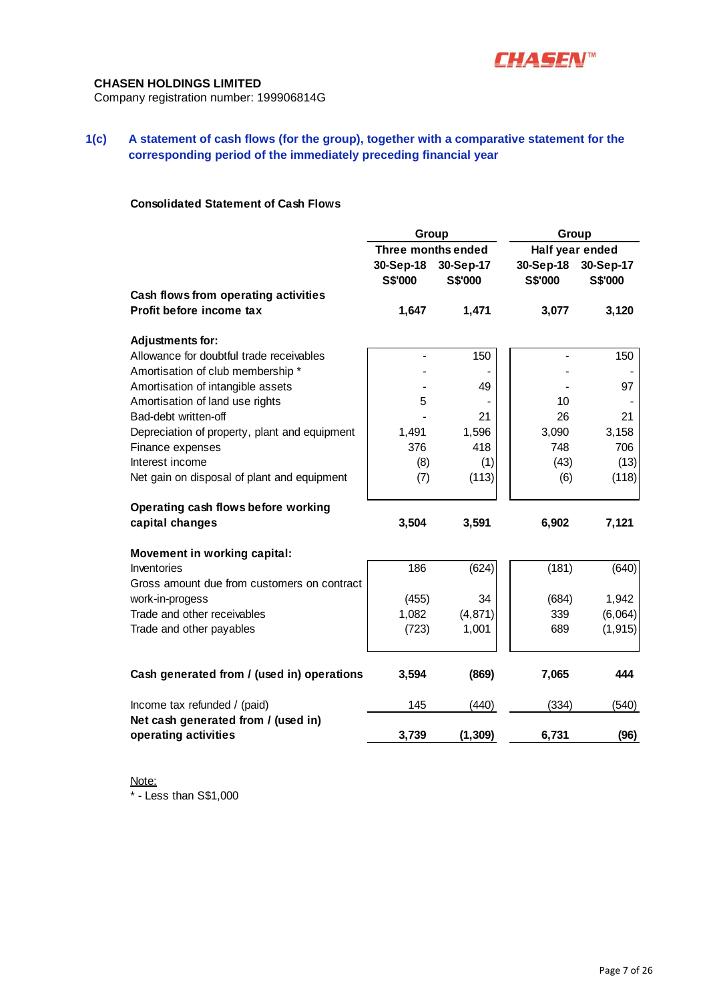

Company registration number: 199906814G

# **1(c) A statement of cash flows (for the group), together with a comparative statement for the corresponding period of the immediately preceding financial year**

# **Consolidated Statement of Cash Flows**

|                                               | Group              |                | Group           |                |  |
|-----------------------------------------------|--------------------|----------------|-----------------|----------------|--|
|                                               | Three months ended |                | Half year ended |                |  |
|                                               | 30-Sep-18          | 30-Sep-17      | 30-Sep-18       | 30-Sep-17      |  |
|                                               | S\$'000            | <b>S\$'000</b> | <b>S\$'000</b>  | <b>S\$'000</b> |  |
| Cash flows from operating activities          |                    |                |                 |                |  |
| Profit before income tax                      | 1,647              | 1,471          | 3,077           | 3,120          |  |
| <b>Adjustments for:</b>                       |                    |                |                 |                |  |
| Allowance for doubtful trade receivables      | $\blacksquare$     | 150            |                 | 150            |  |
| Amortisation of club membership *             |                    |                |                 |                |  |
| Amortisation of intangible assets             |                    | 49             |                 | 97             |  |
| Amortisation of land use rights               | 5                  |                | 10              |                |  |
| Bad-debt written-off                          |                    | 21             | 26              | 21             |  |
| Depreciation of property, plant and equipment | 1,491              | 1,596          | 3,090           | 3,158          |  |
| Finance expenses                              | 376                | 418            | 748             | 706            |  |
| Interest income                               | (8)                | (1)            | (43)            | (13)           |  |
| Net gain on disposal of plant and equipment   | (7)                | (113)          | (6)             | (118)          |  |
| Operating cash flows before working           |                    |                |                 |                |  |
| capital changes                               | 3,504              | 3,591          | 6,902           | 7,121          |  |
| <b>Movement in working capital:</b>           |                    |                |                 |                |  |
| Inventories                                   | 186                | (624)          | (181)           | (640)          |  |
| Gross amount due from customers on contract   |                    |                |                 |                |  |
| work-in-progess                               | (455)              | 34             | (684)           | 1,942          |  |
| Trade and other receivables                   | 1,082              | (4, 871)       | 339             | (6,064)        |  |
| Trade and other payables                      | (723)              | 1,001          | 689             | (1, 915)       |  |
| Cash generated from / (used in) operations    | 3,594              | (869)          | 7,065           | 444            |  |
| Income tax refunded / (paid)                  | 145                | (440)          | (334)           | (540)          |  |
| Net cash generated from / (used in)           |                    |                |                 |                |  |
| operating activities                          | 3,739              | (1, 309)       | 6,731           | (96)           |  |

Note: \* - Less than S\$1,000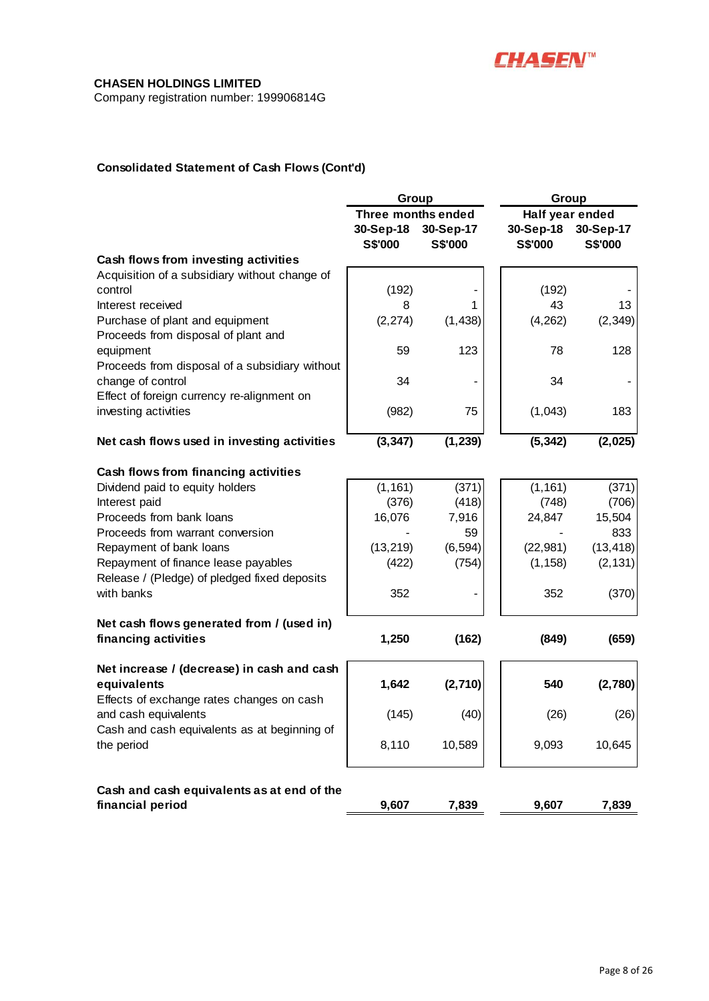

Company registration number: 199906814G

# **Consolidated Statement of Cash Flows (Cont'd)**

|                                                                | Group<br>Group     |           |                 |                |
|----------------------------------------------------------------|--------------------|-----------|-----------------|----------------|
|                                                                | Three months ended |           | Half year ended |                |
|                                                                | 30-Sep-18          | 30-Sep-17 | 30-Sep-18       | 30-Sep-17      |
|                                                                | <b>S\$'000</b>     | S\$'000   | <b>S\$'000</b>  | <b>S\$'000</b> |
| Cash flows from investing activities                           |                    |           |                 |                |
| Acquisition of a subsidiary without change of                  |                    |           |                 |                |
| control                                                        | (192)              |           | (192)           |                |
| Interest received                                              | 8                  | 1         | 43              | 13             |
| Purchase of plant and equipment                                | (2, 274)           | (1, 438)  | (4, 262)        | (2, 349)       |
| Proceeds from disposal of plant and                            |                    |           |                 |                |
| equipment                                                      | 59                 | 123       | 78              | 128            |
| Proceeds from disposal of a subsidiary without                 |                    |           |                 |                |
| change of control                                              | 34                 |           | 34              |                |
| Effect of foreign currency re-alignment on                     |                    |           |                 |                |
| investing activities                                           | (982)              | 75        | (1,043)         | 183            |
|                                                                |                    |           |                 |                |
| Net cash flows used in investing activities                    | (3, 347)           | (1, 239)  | (5, 342)        | (2,025)        |
| Cash flows from financing activities                           |                    |           |                 |                |
| Dividend paid to equity holders                                | (1, 161)           | (371)     | (1, 161)        | (371)          |
| Interest paid                                                  | (376)              | (418)     | (748)           | (706)          |
| Proceeds from bank loans                                       | 16,076             | 7,916     | 24,847          | 15,504         |
| Proceeds from warrant conversion                               |                    | 59        |                 | 833            |
| Repayment of bank loans                                        | (13, 219)          | (6, 594)  | (22, 981)       | (13, 418)      |
| Repayment of finance lease payables                            | (422)              | (754)     | (1, 158)        | (2, 131)       |
| Release / (Pledge) of pledged fixed deposits                   |                    |           |                 |                |
| with banks                                                     | 352                |           | 352             | (370)          |
| Net cash flows generated from / (used in)                      |                    |           |                 |                |
| financing activities                                           | 1,250              | (162)     | (849)           | (659)          |
| Net increase / (decrease) in cash and cash                     |                    |           |                 |                |
| equivalents                                                    | 1,642              | (2,710)   | 540             | (2,780)        |
| Effects of exchange rates changes on cash                      |                    |           |                 |                |
| and cash equivalents                                           | (145)              | (40)      | (26)            | (26)           |
| Cash and cash equivalents as at beginning of                   |                    |           |                 |                |
| the period                                                     | 8,110              | 10,589    | 9,093           | 10,645         |
|                                                                |                    |           |                 |                |
| Cash and cash equivalents as at end of the<br>financial period | 9,607              | 7,839     | 9,607           | 7,839          |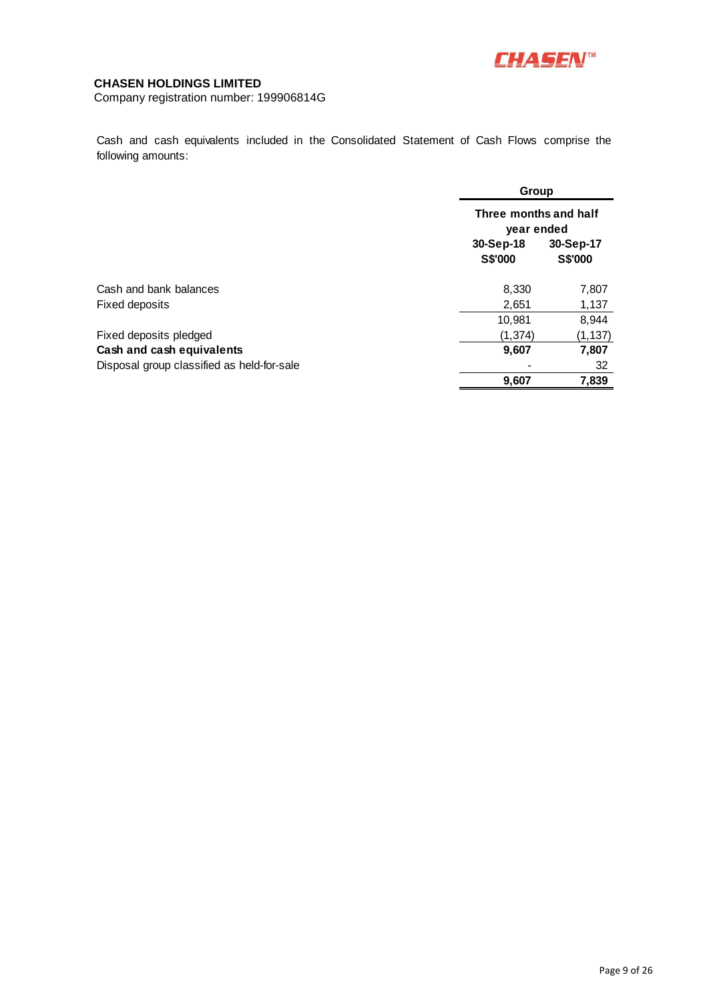

Company registration number: 199906814G

Cash and cash equivalents included in the Consolidated Statement of Cash Flows comprise the following amounts:

|                                            |                             | Group<br>Three months and half<br>year ended |  |  |
|--------------------------------------------|-----------------------------|----------------------------------------------|--|--|
|                                            |                             |                                              |  |  |
|                                            | 30-Sep-18<br><b>S\$'000</b> | 30-Sep-17<br>S\$'000                         |  |  |
| Cash and bank balances                     | 8,330                       | 7,807                                        |  |  |
| Fixed deposits                             | 2,651                       | 1,137                                        |  |  |
|                                            | 10,981                      | 8,944                                        |  |  |
| Fixed deposits pledged                     | (1, 374)                    | (1, 137)                                     |  |  |
| Cash and cash equivalents                  | 9,607                       | 7,807                                        |  |  |
| Disposal group classified as held-for-sale |                             | 32                                           |  |  |
|                                            | 9,607                       | 7,839                                        |  |  |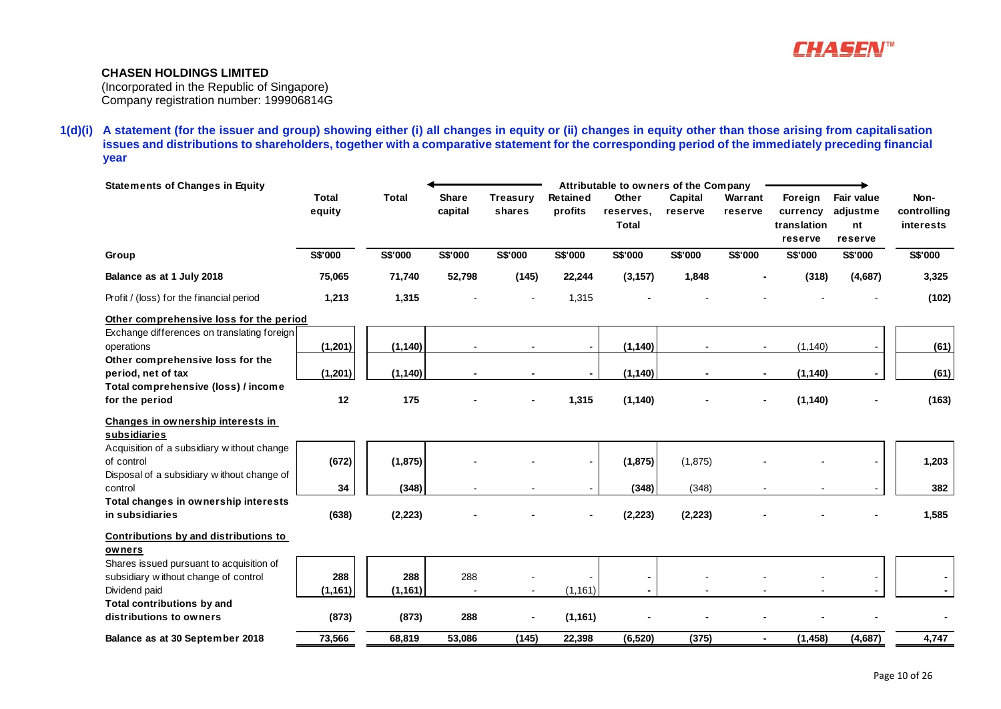

(Incorporated in the Republic of Singapore) Company registration number: 199906814G

**1(d)(i) A statement (for the issuer and group) showing either (i) all changes in equity or (ii) changes in equity other than those arising from capitalisation issues and distributions to shareholders, together with a comparative statement for the corresponding period of the immediately preceding financial year**

| <b>Statements of Changes in Equity</b>                                                                 |                        |                 |                         |                    |                            | Attributable to owners of the Company |                    |                    |                                               |                                         |                                         |
|--------------------------------------------------------------------------------------------------------|------------------------|-----------------|-------------------------|--------------------|----------------------------|---------------------------------------|--------------------|--------------------|-----------------------------------------------|-----------------------------------------|-----------------------------------------|
|                                                                                                        | <b>Total</b><br>equity | <b>Total</b>    | <b>Share</b><br>capital | Treasury<br>shares | <b>Retained</b><br>profits | Other<br>reserves,<br><b>Total</b>    | Capital<br>reserve | Warrant<br>reserve | Foreign<br>currency<br>translation<br>reserve | Fair value<br>adjustme<br>nt<br>reserve | Non-<br>controlling<br><i>interests</i> |
| Group                                                                                                  | <b>S\$'000</b>         | S\$'000         | <b>S\$'000</b>          | <b>S\$'000</b>     | <b>S\$'000</b>             | <b>S\$'000</b>                        | <b>S\$'000</b>     | S\$'000            | S\$'000                                       | S\$'000                                 | S\$'000                                 |
| Balance as at 1 July 2018                                                                              | 75,065                 | 71,740          | 52,798                  | (145)              | 22,244                     | (3, 157)                              | 1,848              |                    | (318)                                         | (4,687)                                 | 3,325                                   |
| Profit / (loss) for the financial period                                                               | 1,213                  | 1,315           |                         |                    | 1,315                      |                                       |                    |                    |                                               |                                         | (102)                                   |
| Other comprehensive loss for the period                                                                |                        |                 |                         |                    |                            |                                       |                    |                    |                                               |                                         |                                         |
| Exchange differences on translating foreign<br>operations                                              | (1, 201)               | (1, 140)        |                         |                    |                            | (1, 140)                              |                    |                    | (1, 140)                                      |                                         | (61)                                    |
| Other comprehensive loss for the<br>period, net of tax                                                 | (1, 201)               | (1, 140)        |                         |                    |                            | (1, 140)                              | $\blacksquare$     | ٠                  | (1, 140)                                      |                                         | (61)                                    |
| Total comprehensive (loss) / income<br>for the period                                                  | 12                     | 175             |                         |                    | 1,315                      | (1, 140)                              |                    |                    | (1, 140)                                      |                                         | (163)                                   |
| Changes in ownership interests in<br>subsidiaries                                                      |                        |                 |                         |                    |                            |                                       |                    |                    |                                               |                                         |                                         |
| Acquisition of a subsidiary without change<br>of control<br>Disposal of a subsidiary without change of | (672)                  | (1, 875)        |                         |                    |                            | (1, 875)                              | (1,875)            |                    |                                               |                                         | 1,203                                   |
| control                                                                                                | 34                     | (348)           |                         |                    |                            | (348)                                 | (348)              |                    |                                               |                                         | 382                                     |
| Total changes in ownership interests<br>in subsidiaries                                                | (638)                  | (2, 223)        |                         |                    |                            | (2, 223)                              | (2, 223)           |                    |                                               |                                         | 1,585                                   |
| Contributions by and distributions to<br>owners                                                        |                        |                 |                         |                    |                            |                                       |                    |                    |                                               |                                         |                                         |
| Shares issued pursuant to acquisition of<br>subsidiary without change of control<br>Dividend paid      | 288<br>(1, 161)        | 288<br>(1, 161) | 288                     |                    | (1, 161)                   |                                       |                    |                    |                                               |                                         |                                         |
| Total contributions by and<br>distributions to owners                                                  | (873)                  | (873)           | 288                     |                    | (1, 161)                   |                                       |                    |                    |                                               |                                         |                                         |
| Balance as at 30 September 2018                                                                        | 73,566                 | 68,819          | 53.086                  | (145)              | 22,398                     | (6, 520)                              | (375)              | $\blacksquare$     | (1, 458)                                      | (4,687)                                 | 4,747                                   |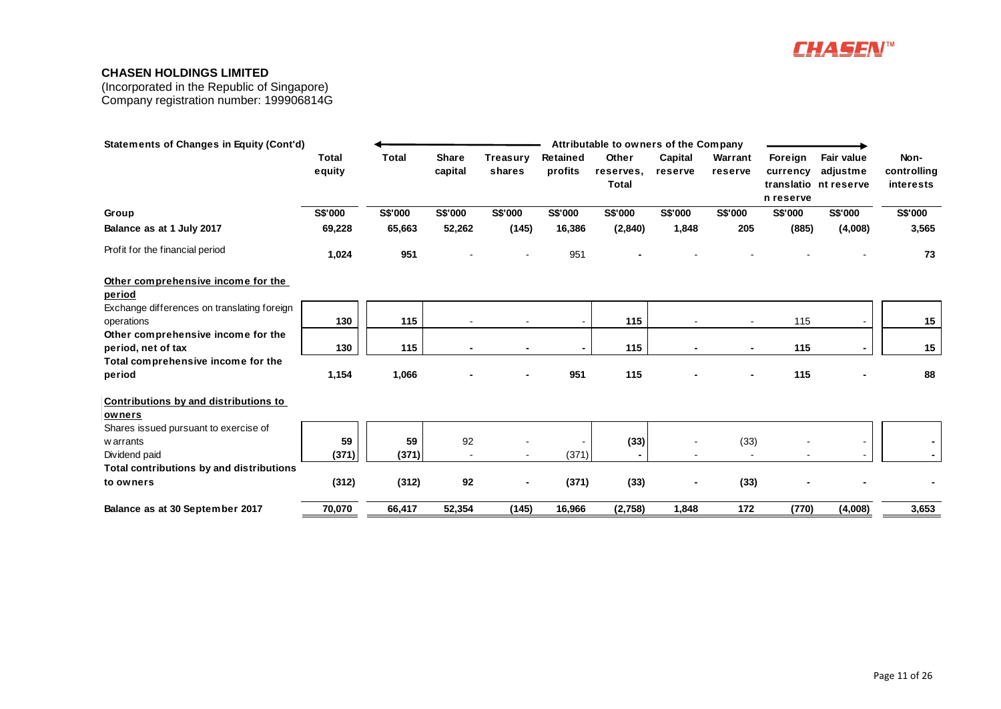

| <b>Statements of Changes in Equity (Cont'd)</b> |                        |                |                         |                           |                     | Attributable to owners of the Company |                          |                    |                                  |                                                 |                                  |
|-------------------------------------------------|------------------------|----------------|-------------------------|---------------------------|---------------------|---------------------------------------|--------------------------|--------------------|----------------------------------|-------------------------------------------------|----------------------------------|
|                                                 | <b>Total</b><br>equity | <b>Total</b>   | <b>Share</b><br>capital | <b>Treasury</b><br>shares | Retained<br>profits | Other<br>reserves,<br><b>Total</b>    | Capital<br>reserve       | Warrant<br>reserve | Foreign<br>currency<br>n reserve | Fair value<br>adjustme<br>translatio nt reserve | Non-<br>controlling<br>interests |
| Group                                           | S\$'000                | <b>S\$'000</b> | S\$'000                 | S\$'000                   | S\$'000             | S\$'000                               | S\$'000                  | S\$'000            | S\$'000                          | S\$'000                                         | <b>S\$'000</b>                   |
| Balance as at 1 July 2017                       | 69,228                 | 65,663         | 52,262                  | (145)                     | 16,386              | (2,840)                               | 1,848                    | 205                | (885)                            | (4,008)                                         | 3,565                            |
| Profit for the financial period                 | 1,024                  | 951            |                         |                           | 951                 |                                       |                          |                    |                                  |                                                 | 73                               |
| Other comprehensive income for the<br>period    |                        |                |                         |                           |                     |                                       |                          |                    |                                  |                                                 |                                  |
| Exchange differences on translating foreign     |                        |                |                         |                           |                     |                                       |                          |                    |                                  |                                                 |                                  |
| operations                                      | 130                    | 115            |                         |                           |                     | 115                                   |                          |                    | 115                              |                                                 | 15                               |
| Other comprehensive income for the              |                        |                |                         |                           |                     |                                       |                          |                    |                                  |                                                 |                                  |
| period, net of tax                              | 130                    | 115            |                         |                           | $\blacksquare$      | 115                                   | $\blacksquare$           | ٠                  | 115                              |                                                 | 15                               |
| Total comprehensive income for the              |                        |                |                         |                           |                     |                                       |                          |                    |                                  |                                                 |                                  |
| period                                          | 1,154                  | 1,066          |                         |                           | 951                 | 115                                   |                          |                    | 115                              |                                                 | 88                               |
| Contributions by and distributions to           |                        |                |                         |                           |                     |                                       |                          |                    |                                  |                                                 |                                  |
| owners                                          |                        |                |                         |                           |                     |                                       |                          |                    |                                  |                                                 |                                  |
| Shares issued pursuant to exercise of           |                        |                |                         |                           |                     |                                       |                          |                    |                                  |                                                 |                                  |
| w arrants                                       | 59                     | 59             | 92                      |                           |                     | (33)                                  |                          | (33)               |                                  |                                                 |                                  |
| Dividend paid                                   | (371)                  | (371)          | $\blacksquare$          |                           | (371)               |                                       |                          |                    |                                  |                                                 |                                  |
| Total contributions by and distributions        |                        |                |                         |                           |                     |                                       |                          |                    |                                  |                                                 |                                  |
| to owners                                       | (312)                  | (312)          | 92                      | ٠                         | (371)               | (33)                                  | $\overline{\phantom{a}}$ | (33)               |                                  |                                                 |                                  |
| Balance as at 30 September 2017                 | 70,070                 | 66,417         | 52,354                  | (145)                     | 16,966              | (2,758)                               | 1,848                    | 172                | (770)                            | (4,008)                                         | 3,653                            |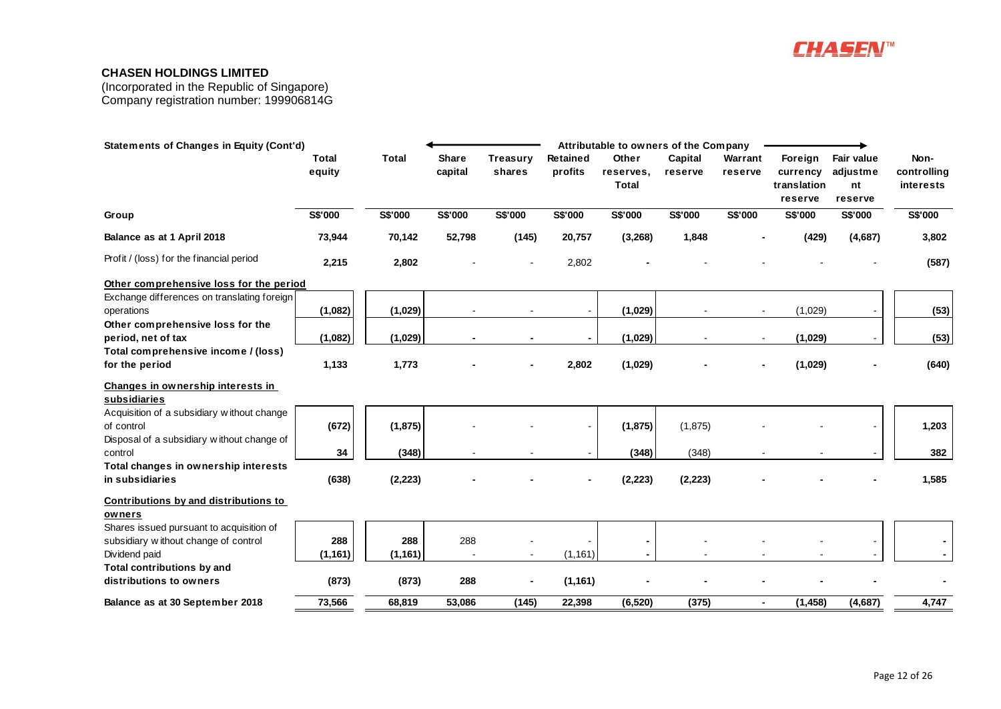

| <b>Statements of Changes in Equity (Cont'd)</b>                                  |                 |              |                         |                           |                            | Attributable to owners of the Company |                    |                    |                                               |                                         |                                  |
|----------------------------------------------------------------------------------|-----------------|--------------|-------------------------|---------------------------|----------------------------|---------------------------------------|--------------------|--------------------|-----------------------------------------------|-----------------------------------------|----------------------------------|
|                                                                                  | Total<br>equity | <b>Total</b> | <b>Share</b><br>capital | <b>Treasury</b><br>shares | <b>Retained</b><br>profits | Other<br>reserves,<br><b>Total</b>    | Capital<br>reserve | Warrant<br>reserve | Foreign<br>currency<br>translation<br>reserve | Fair value<br>adjustme<br>nt<br>reserve | Non-<br>controlling<br>interests |
| Group                                                                            | S\$'000         | S\$'000      | S\$'000                 | S\$'000                   | S\$'000                    | S\$'000                               | S\$'000            | S\$'000            | S\$'000                                       | S\$'000                                 | <b>S\$'000</b>                   |
| Balance as at 1 April 2018                                                       | 73,944          | 70,142       | 52,798                  | (145)                     | 20,757                     | (3, 268)                              | 1,848              |                    | (429)                                         | (4,687)                                 | 3,802                            |
| Profit / (loss) for the financial period                                         | 2,215           | 2,802        |                         |                           | 2,802                      |                                       |                    |                    |                                               |                                         | (587)                            |
| Other comprehensive loss for the period                                          |                 |              |                         |                           |                            |                                       |                    |                    |                                               |                                         |                                  |
| Exchange differences on translating foreign<br>operations                        | (1,082)         | (1,029)      |                         |                           | $\blacksquare$             | (1,029)                               |                    |                    | (1,029)                                       |                                         | (53)                             |
| Other comprehensive loss for the<br>period, net of tax                           | (1,082)         | (1,029)      |                         |                           |                            | (1,029)                               |                    | $\blacksquare$     | (1,029)                                       |                                         | (53)                             |
| Total comprehensive income / (loss)                                              |                 |              |                         |                           |                            |                                       |                    |                    |                                               |                                         |                                  |
| for the period                                                                   | 1,133           | 1,773        |                         |                           | 2,802                      | (1,029)                               |                    |                    | (1,029)                                       |                                         | (640)                            |
| Changes in ownership interests in<br>subsidiaries                                |                 |              |                         |                           |                            |                                       |                    |                    |                                               |                                         |                                  |
| Acquisition of a subsidiary without change<br>of control                         | (672)           | (1,875)      |                         |                           |                            | (1,875)                               | (1,875)            |                    |                                               |                                         | 1,203                            |
| Disposal of a subsidiary without change of<br>control                            | 34              | (348)        |                         |                           |                            | (348)                                 | (348)              |                    |                                               |                                         | 382                              |
| Total changes in ownership interests                                             |                 |              |                         |                           |                            |                                       |                    |                    |                                               |                                         |                                  |
| in subsidiaries                                                                  | (638)           | (2, 223)     |                         |                           |                            | (2, 223)                              | (2, 223)           |                    |                                               |                                         | 1,585                            |
| Contributions by and distributions to<br>owners                                  |                 |              |                         |                           |                            |                                       |                    |                    |                                               |                                         |                                  |
| Shares issued pursuant to acquisition of<br>subsidiary without change of control | 288             | 288          | 288                     |                           |                            |                                       |                    |                    |                                               |                                         |                                  |
| Dividend paid                                                                    | (1, 161)        | (1, 161)     |                         |                           | (1, 161)                   |                                       |                    |                    |                                               |                                         |                                  |
| Total contributions by and                                                       |                 |              |                         |                           |                            |                                       |                    |                    |                                               |                                         |                                  |
| distributions to owners                                                          | (873)           | (873)        | 288                     |                           | (1, 161)                   |                                       |                    |                    |                                               |                                         |                                  |
| Balance as at 30 September 2018                                                  | 73,566          | 68,819       | 53,086                  | (145)                     | 22,398                     | (6, 520)                              | (375)              | $\blacksquare$     | (1, 458)                                      | (4,687)                                 | 4,747                            |
|                                                                                  |                 |              |                         |                           |                            |                                       |                    |                    |                                               |                                         |                                  |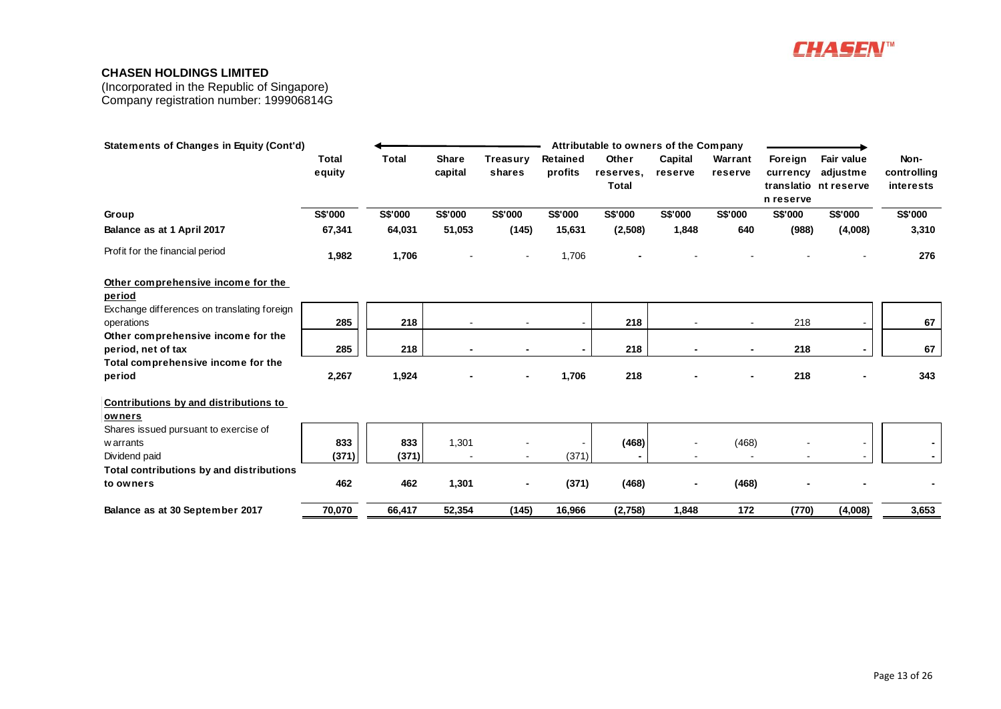

| <b>Statements of Changes in Equity (Cont'd)</b> |              |              |              |                |          | Attributable to owners of the Company |         |                |           |                       |             |
|-------------------------------------------------|--------------|--------------|--------------|----------------|----------|---------------------------------------|---------|----------------|-----------|-----------------------|-------------|
|                                                 | <b>Total</b> | <b>Total</b> | <b>Share</b> | Treasury       | Retained | Other                                 | Capital | Warrant        | Foreign   | Fair value            | Non-        |
|                                                 | equity       |              | capital      | shares         | profits  | reserves.                             | reserve | reserve        | currency  | adjustme              | controlling |
|                                                 |              |              |              |                |          | <b>Total</b>                          |         |                |           | translatio nt reserve | interests   |
|                                                 |              |              |              |                |          |                                       |         |                | n reserve |                       |             |
| Group                                           | S\$'000      | S\$'000      | S\$'000      | S\$'000        | S\$'000  | S\$'000                               | S\$'000 | S\$'000        | S\$'000   | S\$'000               | S\$'000     |
| Balance as at 1 April 2017                      | 67,341       | 64,031       | 51,053       | (145)          | 15,631   | (2,508)                               | 1,848   | 640            | (988)     | (4,008)               | 3,310       |
| Profit for the financial period                 | 1,982        | 1,706        |              |                | 1,706    |                                       |         |                |           |                       | 276         |
| Other comprehensive income for the              |              |              |              |                |          |                                       |         |                |           |                       |             |
| period                                          |              |              |              |                |          |                                       |         |                |           |                       |             |
| Exchange differences on translating foreign     |              |              |              |                |          |                                       |         |                |           |                       |             |
| operations                                      | 285          | 218          |              |                |          | 218                                   |         |                | 218       |                       | 67          |
| Other comprehensive income for the              |              |              |              |                |          |                                       |         |                |           |                       |             |
| period, net of tax                              | 285          | 218          |              |                |          | 218                                   |         | $\blacksquare$ | 218       |                       | 67          |
| Total comprehensive income for the              |              |              |              |                |          |                                       |         |                |           |                       |             |
| period                                          | 2,267        | 1,924        |              |                | 1,706    | 218                                   |         |                | 218       |                       | 343         |
| Contributions by and distributions to           |              |              |              |                |          |                                       |         |                |           |                       |             |
| owners                                          |              |              |              |                |          |                                       |         |                |           |                       |             |
| Shares issued pursuant to exercise of           |              |              |              |                |          |                                       |         |                |           |                       |             |
| w arrants                                       | 833          | 833          | 1,301        |                |          | (468)                                 |         | (468)          |           |                       |             |
| Dividend paid                                   | (371)        | (371)        |              | $\blacksquare$ | (371)    |                                       |         |                |           |                       |             |
| Total contributions by and distributions        |              |              |              |                |          |                                       |         |                |           |                       |             |
| to owners                                       | 462          | 462          | 1,301        | $\blacksquare$ | (371)    | (468)                                 | ٠       | (468)          |           |                       |             |
| Balance as at 30 September 2017                 | 70,070       | 66,417       | 52,354       | (145)          | 16,966   | (2,758)                               | 1.848   | 172            | (770)     | (4,008)               | 3,653       |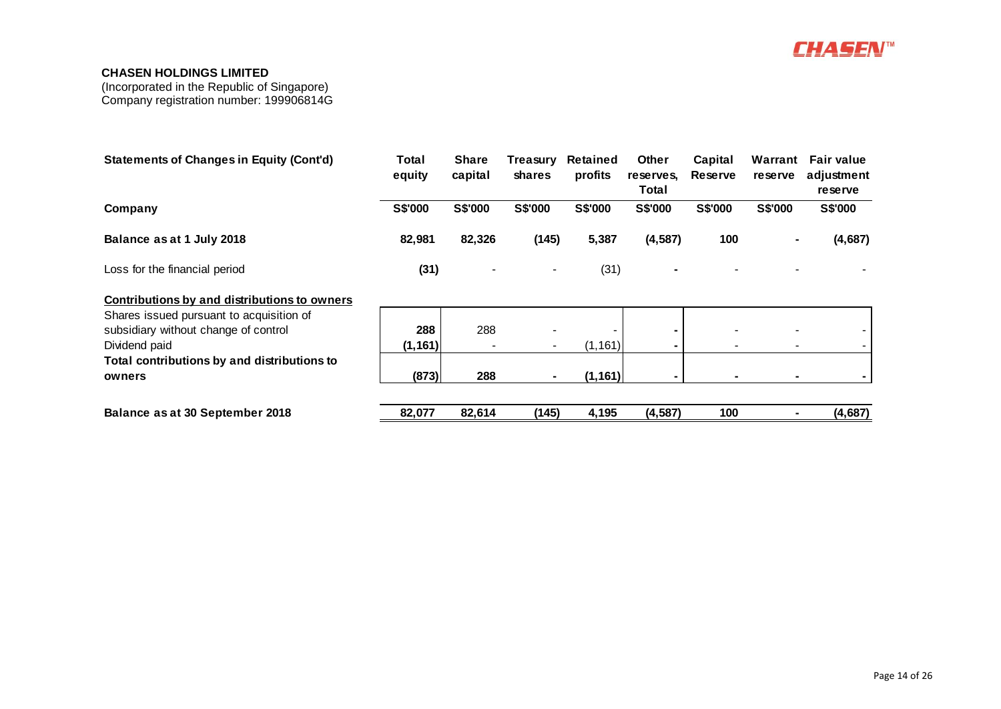

| <b>Statements of Changes in Equity (Cont'd)</b>     | Total<br>equity | <b>Share</b><br>capital | Treasury<br><b>shares</b> | <b>Retained</b><br>profits | <b>Other</b><br>reserves,<br>Total | Capital<br><b>Reserve</b> | Warrant<br><b>reserve</b> | <b>Fair value</b><br>adjustment<br>reserve |
|-----------------------------------------------------|-----------------|-------------------------|---------------------------|----------------------------|------------------------------------|---------------------------|---------------------------|--------------------------------------------|
| Company                                             | <b>S\$'000</b>  | <b>S\$'000</b>          | <b>S\$'000</b>            | <b>S\$'000</b>             | S\$'000                            | <b>S\$'000</b>            | <b>S\$'000</b>            | <b>S\$'000</b>                             |
| Balance as at 1 July 2018                           | 82,981          | 82,326                  | (145)                     | 5,387                      | (4, 587)                           | 100                       |                           | (4,687)                                    |
| Loss for the financial period                       | (31)            |                         |                           | (31)                       |                                    |                           |                           |                                            |
| <b>Contributions by and distributions to owners</b> |                 |                         |                           |                            |                                    |                           |                           |                                            |
| Shares issued pursuant to acquisition of            |                 |                         |                           |                            |                                    |                           |                           |                                            |
| subsidiary without change of control                | 288             | 288                     |                           |                            |                                    |                           |                           |                                            |
| Dividend paid                                       | (1, 161)        |                         |                           | (1, 161)                   |                                    |                           |                           |                                            |
| Total contributions by and distributions to         |                 |                         |                           |                            |                                    |                           |                           |                                            |
| owners                                              | (873)           | 288                     | ۰.                        | (1, 161)                   |                                    |                           |                           |                                            |
| <b>Balance as at 30 September 2018</b>              | 82,077          | 82,614                  | (145)                     | 4,195                      | (4, 587)                           | 100                       |                           | (4,687)                                    |
|                                                     |                 |                         |                           |                            |                                    |                           |                           |                                            |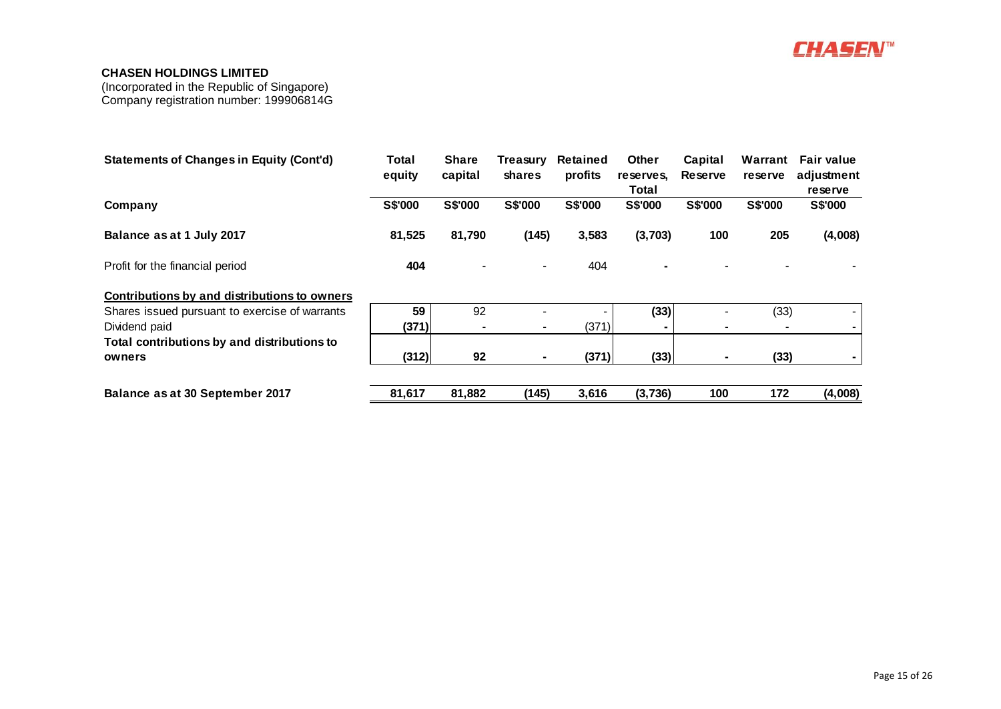

| <b>Statements of Changes in Equity (Cont'd)</b> | Total<br>equity | <b>Share</b><br>capital | Treasurv<br><b>shares</b> | <b>Retained</b><br>profits | <b>Other</b><br>reserves, | Capital<br>Reserve | Warrant<br>reserve | <b>Fair value</b><br>adjustment |
|-------------------------------------------------|-----------------|-------------------------|---------------------------|----------------------------|---------------------------|--------------------|--------------------|---------------------------------|
|                                                 |                 |                         |                           |                            | Total                     |                    |                    | reserve                         |
| Company                                         | S\$'000         | <b>S\$'000</b>          | S\$'000                   | <b>S\$'000</b>             | <b>S\$'000</b>            | S\$'000            | <b>S\$'000</b>     | <b>S\$'000</b>                  |
| Balance as at 1 July 2017                       | 81,525          | 81,790                  | (145)                     | 3,583                      | (3,703)                   | 100                | 205                | (4,008)                         |
| Profit for the financial period                 | 404             |                         | $\blacksquare$            | 404                        |                           |                    |                    |                                 |
| Contributions by and distributions to owners    |                 |                         |                           |                            |                           |                    |                    |                                 |
| Shares issued pursuant to exercise of warrants  | 59              | 92                      |                           |                            | (33)                      |                    | (33)               |                                 |
| Dividend paid                                   | (371)           |                         |                           | (371)                      |                           |                    |                    |                                 |
| Total contributions by and distributions to     |                 |                         |                           |                            |                           |                    |                    |                                 |
| owners                                          | (312)           | 92                      |                           | (371)                      | (33)                      |                    | (33)               |                                 |
| Balance as at 30 September 2017                 | 81,617          | 81,882                  | (145)                     | 3,616                      | (3,736)                   | 100                | 172                | (4,008)                         |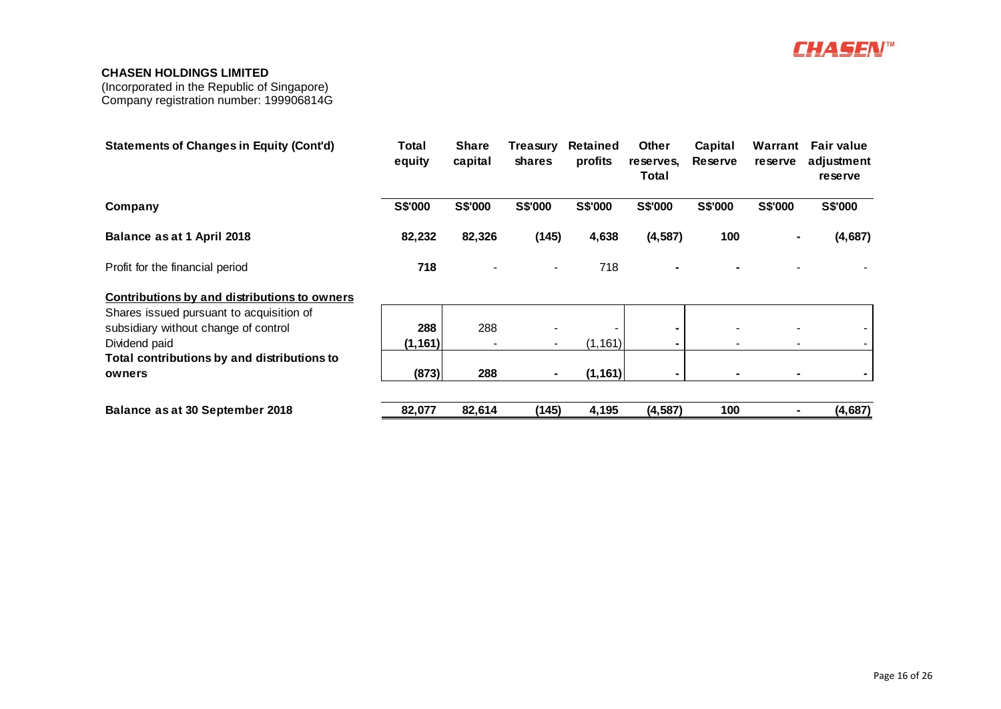

| <b>Statements of Changes in Equity (Cont'd)</b>                                  | Total<br>equity | <b>Share</b><br>capital  | Treasurv<br>shares | Retained<br>profits | Other<br>reserves,<br>Total | Capital<br><b>Reserve</b> | Warrant<br><b>reserve</b> | <b>Fair value</b><br>adjustment<br>reserve |
|----------------------------------------------------------------------------------|-----------------|--------------------------|--------------------|---------------------|-----------------------------|---------------------------|---------------------------|--------------------------------------------|
| Company                                                                          | <b>S\$'000</b>  | <b>S\$'000</b>           | <b>S\$'000</b>     | <b>S\$'000</b>      | <b>S\$'000</b>              | <b>S\$'000</b>            | <b>S\$'000</b>            | S\$'000                                    |
| Balance as at 1 April 2018                                                       | 82,232          | 82,326                   | (145)              | 4,638               | (4, 587)                    | 100                       | ۰                         | (4,687)                                    |
| Profit for the financial period                                                  | 718             |                          |                    | 718                 |                             |                           |                           |                                            |
| <b>Contributions by and distributions to owners</b>                              |                 |                          |                    |                     |                             |                           |                           |                                            |
| Shares issued pursuant to acquisition of<br>subsidiary without change of control | 288             | 288                      |                    |                     |                             |                           |                           |                                            |
| Dividend paid                                                                    | (1, 161)        | $\overline{\phantom{a}}$ | $\sim$             | (1, 161)            | $\blacksquare$              |                           | $\blacksquare$            |                                            |
| Total contributions by and distributions to<br>owners                            | (873)           | 288                      | ۰                  | (1, 161)            |                             |                           | ۰                         |                                            |
| Balance as at 30 September 2018                                                  | 82,077          | 82,614                   | (145)              | 4,195               | (4, 587)                    | 100                       |                           | (4,687)                                    |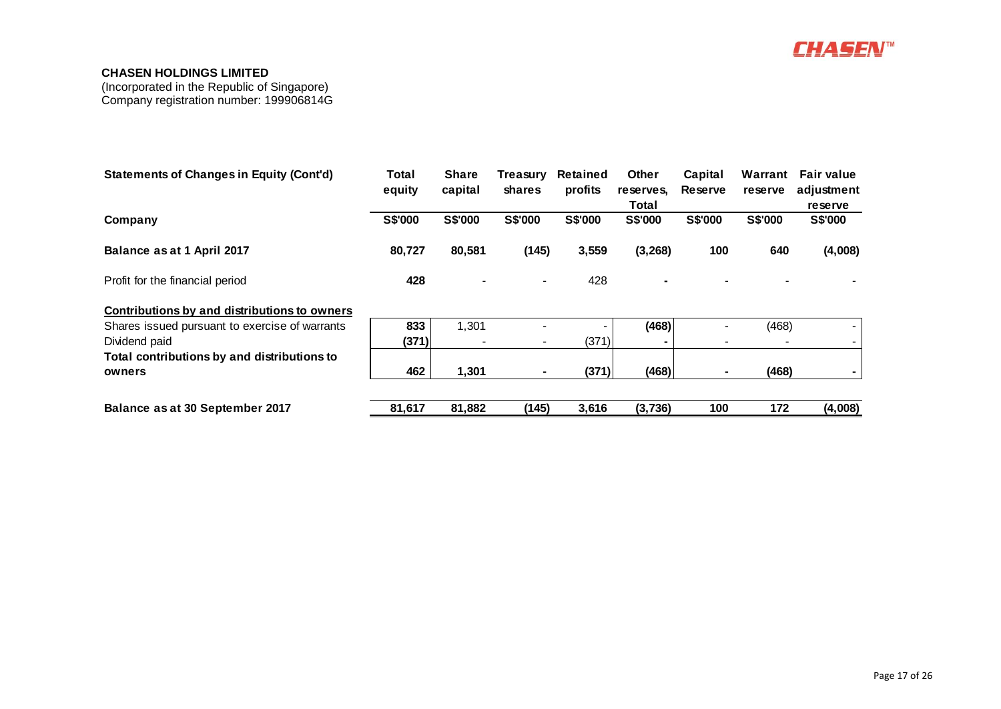

| <b>Statements of Changes in Equity (Cont'd)</b> | Total<br>equity | <b>Share</b><br>capital | Treasury<br><b>shares</b> | Retained<br>profits | <b>Other</b><br>reserves,<br>Total | Capital<br>Reserve | Warrant<br>reserve | <b>Fair value</b><br>adjustment<br><b>reserve</b> |
|-------------------------------------------------|-----------------|-------------------------|---------------------------|---------------------|------------------------------------|--------------------|--------------------|---------------------------------------------------|
| Company                                         | <b>S\$'000</b>  | <b>S\$'000</b>          | <b>S\$'000</b>            | S\$'000             | <b>S\$'000</b>                     | <b>S\$'000</b>     | <b>S\$'000</b>     | S\$'000                                           |
| Balance as at 1 April 2017                      | 80,727          | 80,581                  | (145)                     | 3,559               | (3, 268)                           | 100                | 640                | (4,008)                                           |
| Profit for the financial period                 | 428             |                         | $\blacksquare$            | 428                 |                                    |                    |                    |                                                   |
| Contributions by and distributions to owners    |                 |                         |                           |                     |                                    |                    |                    |                                                   |
| Shares issued pursuant to exercise of warrants  | 833             | 1,301                   |                           |                     | (468)                              |                    | (468)              |                                                   |
| Dividend paid                                   | (371)           |                         | $\blacksquare$            | (371)               |                                    |                    |                    |                                                   |
| Total contributions by and distributions to     |                 |                         |                           |                     |                                    |                    |                    |                                                   |
| owners                                          | 462             | 1,301                   | $\blacksquare$            | (371)               | (468)                              |                    | (468)              |                                                   |
| Balance as at 30 September 2017                 | 81,617          | 81,882                  | (145)                     | 3,616               | (3,736)                            | 100                | 172                | (4,008)                                           |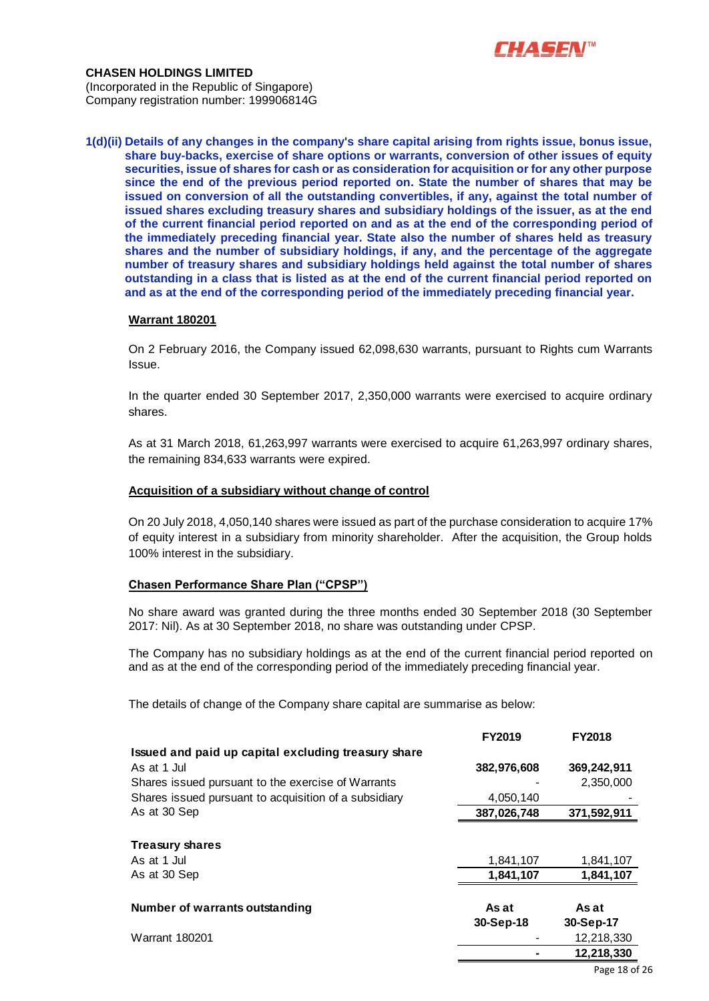

**CHASEN HOLDINGS LIMITED** (Incorporated in the Republic of Singapore) Company registration number: 199906814G

**1(d)(ii) Details of any changes in the company's share capital arising from rights issue, bonus issue, share buy-backs, exercise of share options or warrants, conversion of other issues of equity securities, issue of shares for cash or as consideration for acquisition or for any other purpose since the end of the previous period reported on. State the number of shares that may be issued on conversion of all the outstanding convertibles, if any, against the total number of issued shares excluding treasury shares and subsidiary holdings of the issuer, as at the end of the current financial period reported on and as at the end of the corresponding period of the immediately preceding financial year. State also the number of shares held as treasury shares and the number of subsidiary holdings, if any, and the percentage of the aggregate number of treasury shares and subsidiary holdings held against the total number of shares outstanding in a class that is listed as at the end of the current financial period reported on and as at the end of the corresponding period of the immediately preceding financial year.**

#### **Warrant 180201**

On 2 February 2016, the Company issued 62,098,630 warrants, pursuant to Rights cum Warrants Issue.

In the quarter ended 30 September 2017, 2,350,000 warrants were exercised to acquire ordinary shares.

As at 31 March 2018, 61,263,997 warrants were exercised to acquire 61,263,997 ordinary shares, the remaining 834,633 warrants were expired.

#### **Acquisition of a subsidiary without change of control**

On 20 July 2018, 4,050,140 shares were issued as part of the purchase consideration to acquire 17% of equity interest in a subsidiary from minority shareholder. After the acquisition, the Group holds 100% interest in the subsidiary.

#### **Chasen Performance Share Plan ("CPSP")**

No share award was granted during the three months ended 30 September 2018 (30 September 2017: Nil). As at 30 September 2018, no share was outstanding under CPSP.

The Company has no subsidiary holdings as at the end of the current financial period reported on and as at the end of the corresponding period of the immediately preceding financial year.

The details of change of the Company share capital are summarise as below:

|                                                       | <b>FY2019</b> | <b>FY2018</b> |
|-------------------------------------------------------|---------------|---------------|
| Issued and paid up capital excluding treasury share   |               |               |
| As at 1 Jul                                           | 382,976,608   | 369,242,911   |
| Shares issued pursuant to the exercise of Warrants    |               | 2,350,000     |
| Shares issued pursuant to acquisition of a subsidiary | 4,050,140     |               |
| As at 30 Sep                                          | 387,026,748   | 371,592,911   |
|                                                       |               |               |
| <b>Treasury shares</b>                                |               |               |
| As at 1 Jul                                           | 1,841,107     | 1,841,107     |
| As at 30 Sep                                          | 1,841,107     | 1,841,107     |
|                                                       |               |               |
| Number of warrants outstanding                        | As at         | As at         |
|                                                       | 30-Sep-18     | 30-Sep-17     |
| <b>Warrant 180201</b>                                 |               | 12,218,330    |
|                                                       |               | 12,218,330    |
|                                                       |               |               |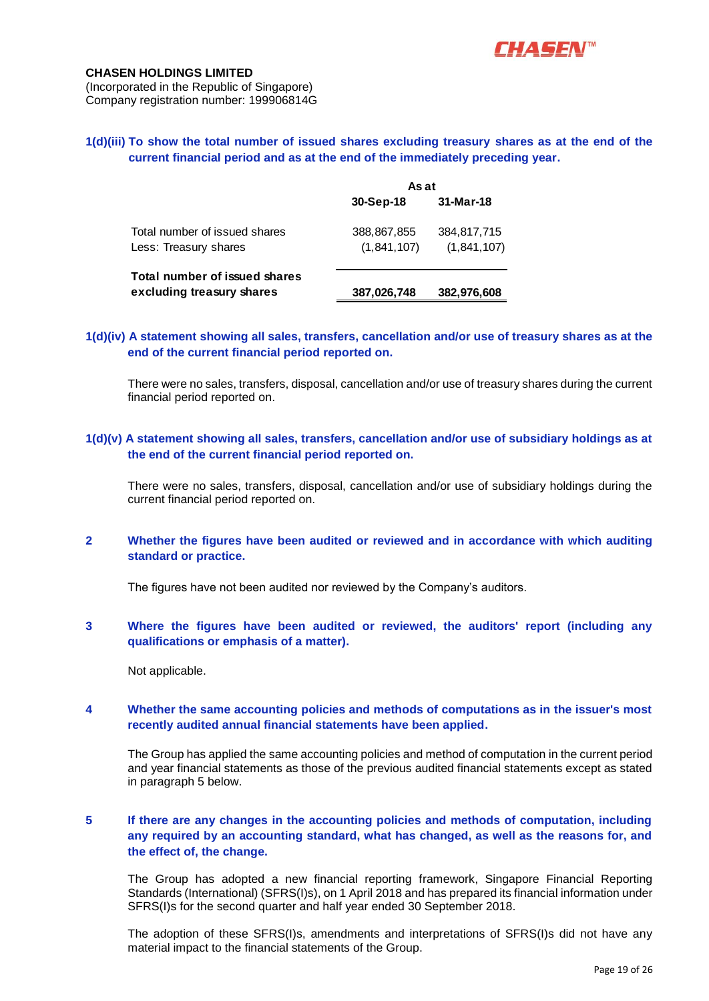

# **1(d)(iii) To show the total number of issued shares excluding treasury shares as at the end of the current financial period and as at the end of the immediately preceding year.**

|                                                            | As at                      |                            |
|------------------------------------------------------------|----------------------------|----------------------------|
|                                                            | 30-Sep-18                  | 31-Mar-18                  |
| Total number of issued shares<br>Less: Treasury shares     | 388,867,855<br>(1,841,107) | 384,817,715<br>(1,841,107) |
| Total number of issued shares<br>excluding treasury shares | 387,026,748                | 382,976,608                |

# **1(d)(iv) A statement showing all sales, transfers, cancellation and/or use of treasury shares as at the end of the current financial period reported on.**

There were no sales, transfers, disposal, cancellation and/or use of treasury shares during the current financial period reported on.

## **1(d)(v) A statement showing all sales, transfers, cancellation and/or use of subsidiary holdings as at the end of the current financial period reported on.**

There were no sales, transfers, disposal, cancellation and/or use of subsidiary holdings during the current financial period reported on.

# **2 Whether the figures have been audited or reviewed and in accordance with which auditing standard or practice.**

The figures have not been audited nor reviewed by the Company's auditors.

# **3 Where the figures have been audited or reviewed, the auditors' report (including any qualifications or emphasis of a matter).**

Not applicable.

## **4 Whether the same accounting policies and methods of computations as in the issuer's most recently audited annual financial statements have been applied.**

The Group has applied the same accounting policies and method of computation in the current period and year financial statements as those of the previous audited financial statements except as stated in paragraph 5 below.

# **5 If there are any changes in the accounting policies and methods of computation, including any required by an accounting standard, what has changed, as well as the reasons for, and the effect of, the change.**

The Group has adopted a new financial reporting framework, Singapore Financial Reporting Standards (International) (SFRS(I)s), on 1 April 2018 and has prepared its financial information under SFRS(I)s for the second quarter and half year ended 30 September 2018.

The adoption of these SFRS(I)s, amendments and interpretations of SFRS(I)s did not have any material impact to the financial statements of the Group.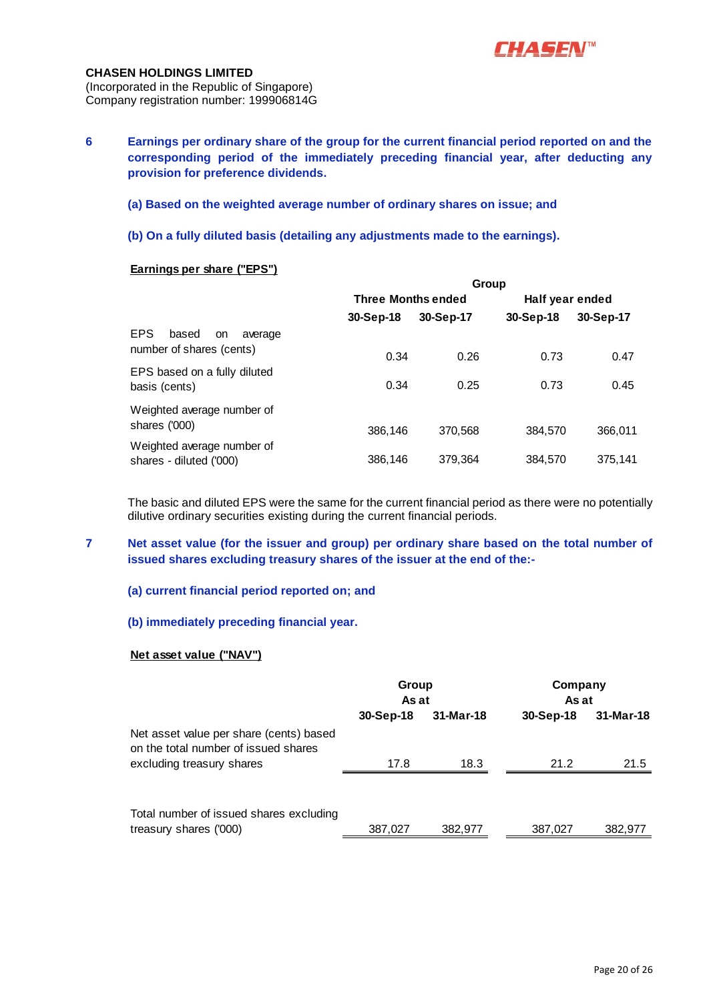

**6 Earnings per ordinary share of the group for the current financial period reported on and the corresponding period of the immediately preceding financial year, after deducting any provision for preference dividends.**

## **(a) Based on the weighted average number of ordinary shares on issue; and**

**(b) On a fully diluted basis (detailing any adjustments made to the earnings).**

## **Earnings per share ("EPS")**

|                                                            |                           | Group     |                 |           |
|------------------------------------------------------------|---------------------------|-----------|-----------------|-----------|
|                                                            | <b>Three Months ended</b> |           | Half year ended |           |
|                                                            | 30-Sep-18                 | 30-Sep-17 | 30-Sep-18       | 30-Sep-17 |
| EPS.<br>based<br>average<br>on<br>number of shares (cents) | 0.34                      | 0.26      | 0.73            | 0.47      |
| EPS based on a fully diluted<br>basis (cents)              | 0.34                      | 0.25      | 0.73            | 0.45      |
| Weighted average number of<br>shares ('000)                | 386,146                   | 370,568   | 384.570         | 366,011   |
| Weighted average number of<br>shares - diluted ('000)      | 386,146                   | 379,364   | 384,570         | 375.141   |

The basic and diluted EPS were the same for the current financial period as there were no potentially dilutive ordinary securities existing during the current financial periods.

**7 Net asset value (for the issuer and group) per ordinary share based on the total number of issued shares excluding treasury shares of the issuer at the end of the:-**

#### **(a) current financial period reported on; and**

## **(b) immediately preceding financial year.**

#### **Net asset value ("NAV")**

|                                                                                 | Group<br>As at |           | Company<br>As at |           |
|---------------------------------------------------------------------------------|----------------|-----------|------------------|-----------|
|                                                                                 | $30-Sep-18$    | 31-Mar-18 | 30-Sep-18        | 31-Mar-18 |
| Net asset value per share (cents) based<br>on the total number of issued shares |                |           |                  |           |
| excluding treasury shares                                                       | 17.8           | 18.3      | 21.2             | 21.5      |
|                                                                                 |                |           |                  |           |
| Total number of issued shares excluding<br>treasury shares ('000)               | 387,027        | 382,977   | 387,027          | 382,977   |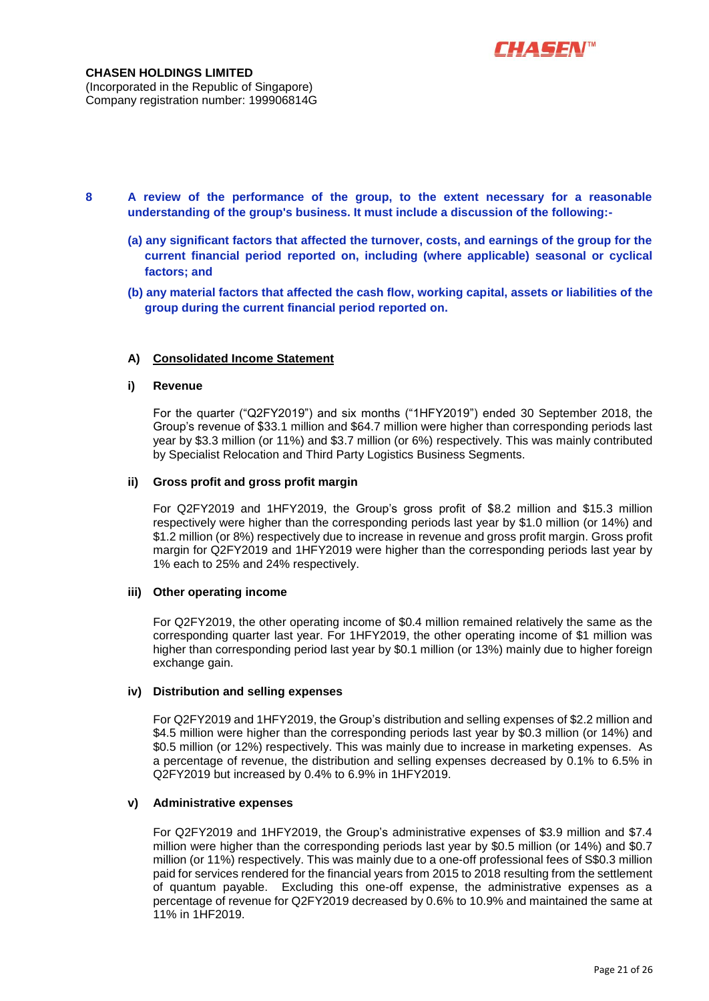

- **8 A review of the performance of the group, to the extent necessary for a reasonable understanding of the group's business. It must include a discussion of the following:-**
	- **(a) any significant factors that affected the turnover, costs, and earnings of the group for the current financial period reported on, including (where applicable) seasonal or cyclical factors; and**
	- **(b) any material factors that affected the cash flow, working capital, assets or liabilities of the group during the current financial period reported on.**

#### **A) Consolidated Income Statement**

#### **i) Revenue**

For the quarter ("Q2FY2019") and six months ("1HFY2019") ended 30 September 2018, the Group's revenue of \$33.1 million and \$64.7 million were higher than corresponding periods last year by \$3.3 million (or 11%) and \$3.7 million (or 6%) respectively. This was mainly contributed by Specialist Relocation and Third Party Logistics Business Segments.

#### **ii) Gross profit and gross profit margin**

For Q2FY2019 and 1HFY2019, the Group's gross profit of \$8.2 million and \$15.3 million respectively were higher than the corresponding periods last year by \$1.0 million (or 14%) and \$1.2 million (or 8%) respectively due to increase in revenue and gross profit margin. Gross profit margin for Q2FY2019 and 1HFY2019 were higher than the corresponding periods last year by 1% each to 25% and 24% respectively.

## **iii) Other operating income**

For Q2FY2019, the other operating income of \$0.4 million remained relatively the same as the corresponding quarter last year. For 1HFY2019, the other operating income of \$1 million was higher than corresponding period last year by \$0.1 million (or 13%) mainly due to higher foreign exchange gain.

#### **iv) Distribution and selling expenses**

For Q2FY2019 and 1HFY2019, the Group's distribution and selling expenses of \$2.2 million and \$4.5 million were higher than the corresponding periods last year by \$0.3 million (or 14%) and \$0.5 million (or 12%) respectively. This was mainly due to increase in marketing expenses. As a percentage of revenue, the distribution and selling expenses decreased by 0.1% to 6.5% in Q2FY2019 but increased by 0.4% to 6.9% in 1HFY2019.

#### **v) Administrative expenses**

For Q2FY2019 and 1HFY2019, the Group's administrative expenses of \$3.9 million and \$7.4 million were higher than the corresponding periods last year by \$0.5 million (or 14%) and \$0.7 million (or 11%) respectively. This was mainly due to a one-off professional fees of S\$0.3 million paid for services rendered for the financial years from 2015 to 2018 resulting from the settlement of quantum payable. Excluding this one-off expense, the administrative expenses as a percentage of revenue for Q2FY2019 decreased by 0.6% to 10.9% and maintained the same at 11% in 1HF2019.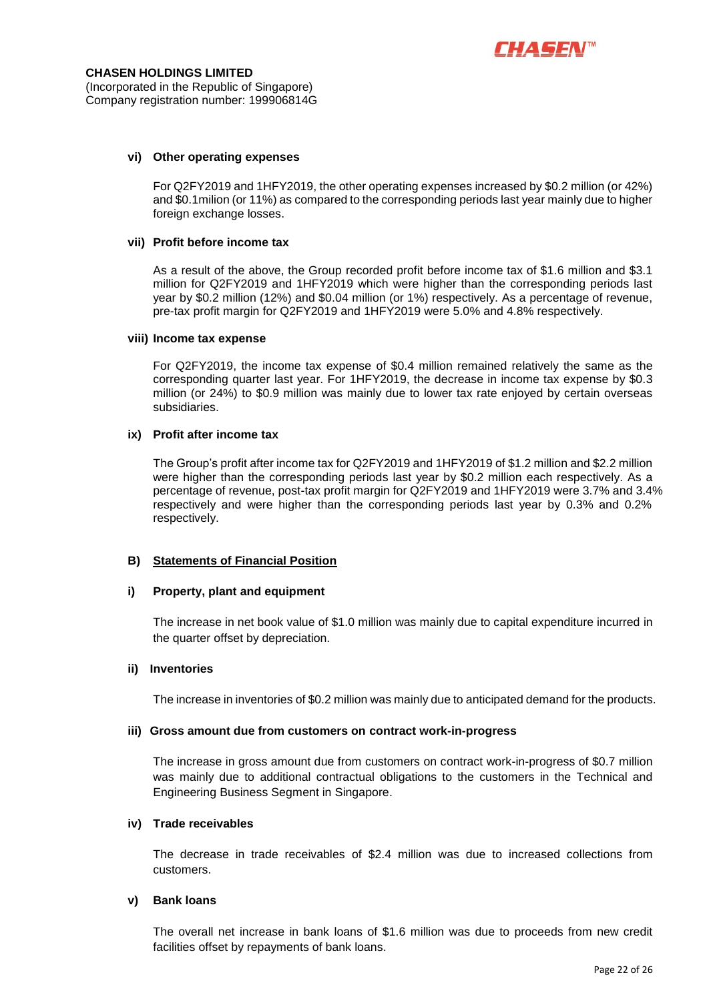

#### **vi) Other operating expenses**

For Q2FY2019 and 1HFY2019, the other operating expenses increased by \$0.2 million (or 42%) and \$0.1milion (or 11%) as compared to the corresponding periods last year mainly due to higher foreign exchange losses.

#### **vii) Profit before income tax**

As a result of the above, the Group recorded profit before income tax of \$1.6 million and \$3.1 million for Q2FY2019 and 1HFY2019 which were higher than the corresponding periods last year by \$0.2 million (12%) and \$0.04 million (or 1%) respectively. As a percentage of revenue, pre-tax profit margin for Q2FY2019 and 1HFY2019 were 5.0% and 4.8% respectively.

#### **viii) Income tax expense**

For Q2FY2019, the income tax expense of \$0.4 million remained relatively the same as the corresponding quarter last year. For 1HFY2019, the decrease in income tax expense by \$0.3 million (or 24%) to \$0.9 million was mainly due to lower tax rate enjoyed by certain overseas subsidiaries.

#### **ix) Profit after income tax**

The Group's profit after income tax for Q2FY2019 and 1HFY2019 of \$1.2 million and \$2.2 million were higher than the corresponding periods last year by \$0.2 million each respectively. As a percentage of revenue, post-tax profit margin for Q2FY2019 and 1HFY2019 were 3.7% and 3.4% respectively and were higher than the corresponding periods last year by 0.3% and 0.2% respectively.

#### **B) Statements of Financial Position**

#### **i) Property, plant and equipment**

The increase in net book value of \$1.0 million was mainly due to capital expenditure incurred in the quarter offset by depreciation.

#### **ii) Inventories**

The increase in inventories of \$0.2 million was mainly due to anticipated demand for the products.

#### **iii) Gross amount due from customers on contract work-in-progress**

The increase in gross amount due from customers on contract work-in-progress of \$0.7 million was mainly due to additional contractual obligations to the customers in the Technical and Engineering Business Segment in Singapore.

#### **iv) Trade receivables**

The decrease in trade receivables of \$2.4 million was due to increased collections from customers.

#### **v) Bank loans**

The overall net increase in bank loans of \$1.6 million was due to proceeds from new credit facilities offset by repayments of bank loans.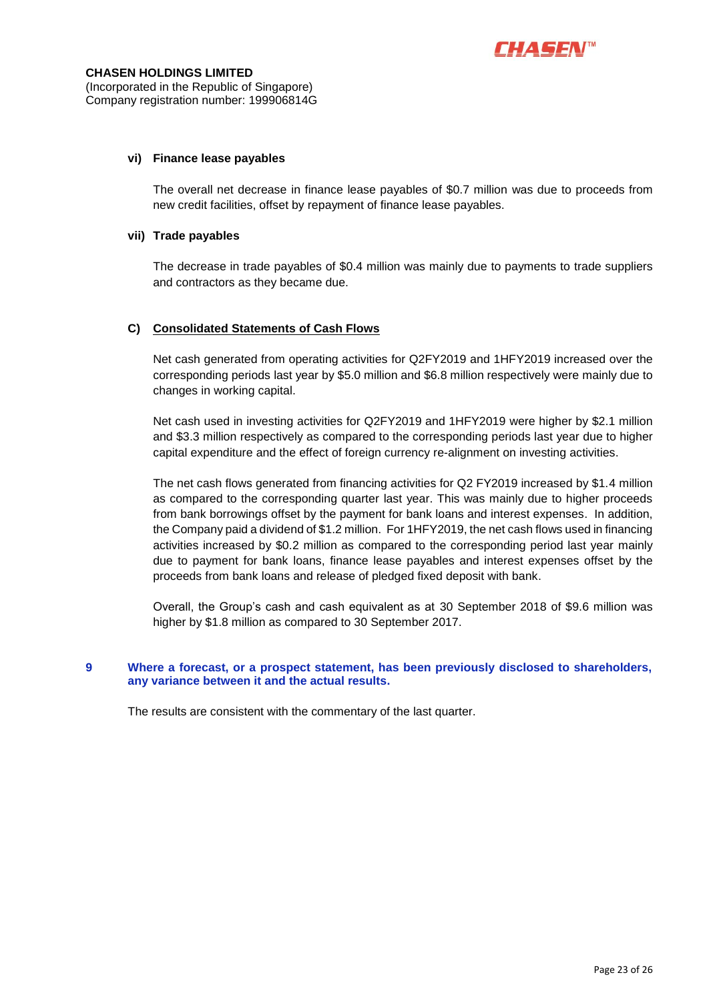

#### **vi) Finance lease payables**

The overall net decrease in finance lease payables of \$0.7 million was due to proceeds from new credit facilities, offset by repayment of finance lease payables.

#### **vii) Trade payables**

The decrease in trade payables of \$0.4 million was mainly due to payments to trade suppliers and contractors as they became due.

#### **C) Consolidated Statements of Cash Flows**

Net cash generated from operating activities for Q2FY2019 and 1HFY2019 increased over the corresponding periods last year by \$5.0 million and \$6.8 million respectively were mainly due to changes in working capital.

Net cash used in investing activities for Q2FY2019 and 1HFY2019 were higher by \$2.1 million and \$3.3 million respectively as compared to the corresponding periods last year due to higher capital expenditure and the effect of foreign currency re-alignment on investing activities.

The net cash flows generated from financing activities for Q2 FY2019 increased by \$1.4 million as compared to the corresponding quarter last year. This was mainly due to higher proceeds from bank borrowings offset by the payment for bank loans and interest expenses. In addition, the Company paid a dividend of \$1.2 million. For 1HFY2019, the net cash flows used in financing activities increased by \$0.2 million as compared to the corresponding period last year mainly due to payment for bank loans, finance lease payables and interest expenses offset by the proceeds from bank loans and release of pledged fixed deposit with bank.

Overall, the Group's cash and cash equivalent as at 30 September 2018 of \$9.6 million was higher by \$1.8 million as compared to 30 September 2017.

## **9 Where a forecast, or a prospect statement, has been previously disclosed to shareholders, any variance between it and the actual results.**

The results are consistent with the commentary of the last quarter.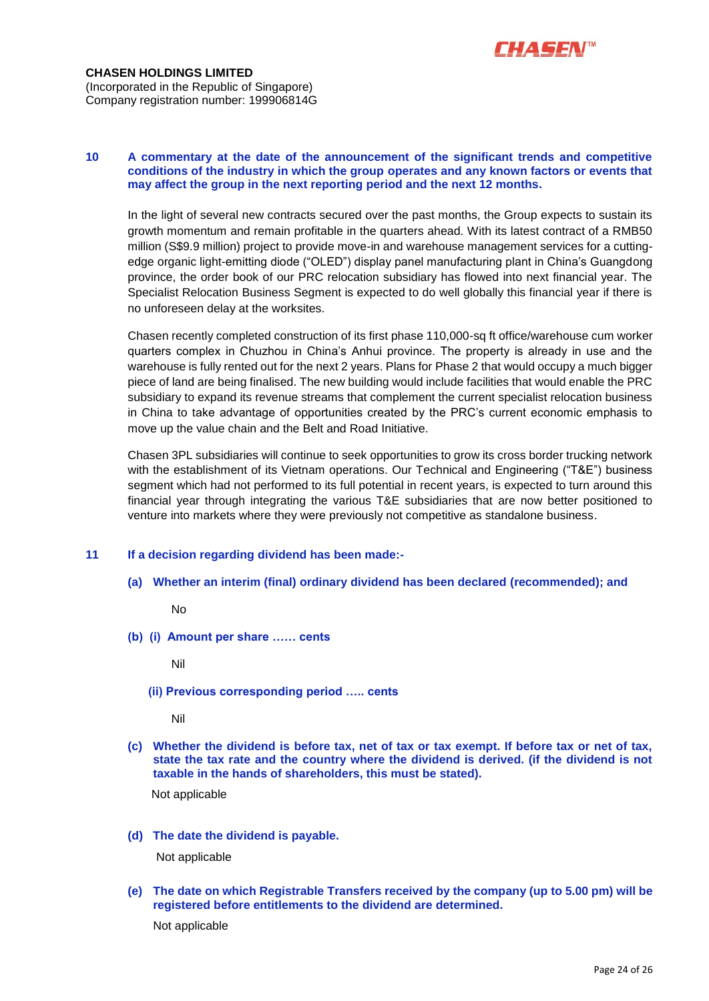

#### **10 A commentary at the date of the announcement of the significant trends and competitive conditions of the industry in which the group operates and any known factors or events that may affect the group in the next reporting period and the next 12 months.**

In the light of several new contracts secured over the past months, the Group expects to sustain its growth momentum and remain profitable in the quarters ahead. With its latest contract of a RMB50 million (S\$9.9 million) project to provide move-in and warehouse management services for a cuttingedge organic light-emitting diode ("OLED") display panel manufacturing plant in China's Guangdong province, the order book of our PRC relocation subsidiary has flowed into next financial year. The Specialist Relocation Business Segment is expected to do well globally this financial year if there is no unforeseen delay at the worksites.

Chasen recently completed construction of its first phase 110,000-sq ft office/warehouse cum worker quarters complex in Chuzhou in China's Anhui province. The property is already in use and the warehouse is fully rented out for the next 2 years. Plans for Phase 2 that would occupy a much bigger piece of land are being finalised. The new building would include facilities that would enable the PRC subsidiary to expand its revenue streams that complement the current specialist relocation business in China to take advantage of opportunities created by the PRC's current economic emphasis to move up the value chain and the Belt and Road Initiative.

Chasen 3PL subsidiaries will continue to seek opportunities to grow its cross border trucking network with the establishment of its Vietnam operations. Our Technical and Engineering ("T&E") business segment which had not performed to its full potential in recent years, is expected to turn around this financial year through integrating the various T&E subsidiaries that are now better positioned to venture into markets where they were previously not competitive as standalone business.

## **11 If a decision regarding dividend has been made:-**

**(a) Whether an interim (final) ordinary dividend has been declared (recommended); and**

No

**(b) (i) Amount per share …… cents**

Nil

 **(ii) Previous corresponding period ….. cents**

Nil

**(c) Whether the dividend is before tax, net of tax or tax exempt. If before tax or net of tax, state the tax rate and the country where the dividend is derived. (if the dividend is not taxable in the hands of shareholders, this must be stated).**

Not applicable

**(d) The date the dividend is payable.**

Not applicable

**(e) The date on which Registrable Transfers received by the company (up to 5.00 pm) will be registered before entitlements to the dividend are determined.**

Not applicable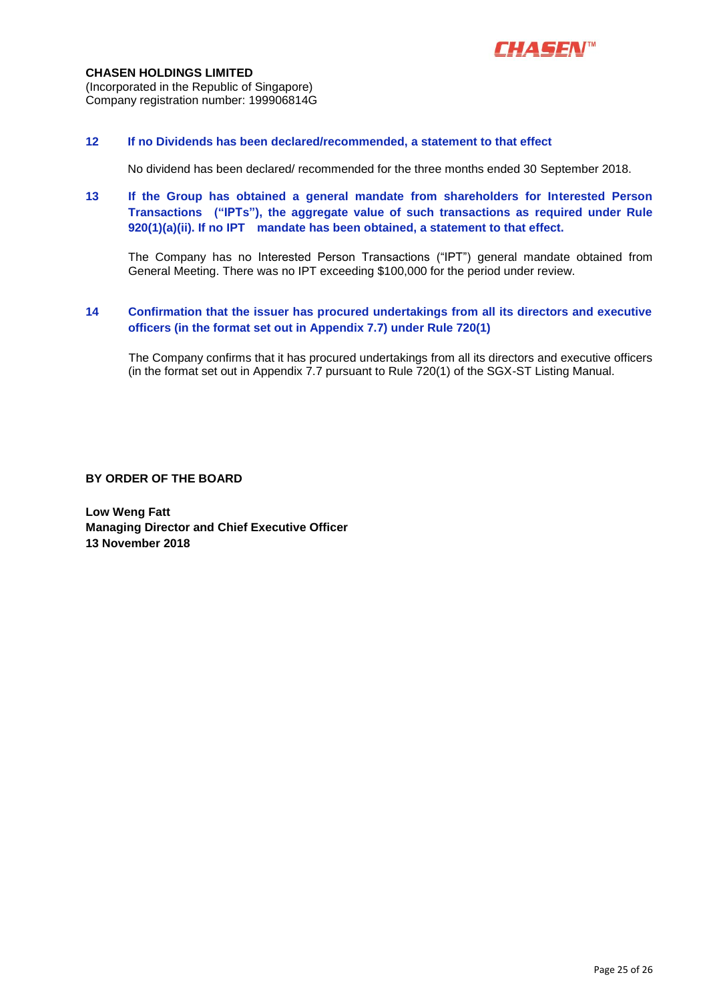

## **CHASEN HOLDINGS LIMITED** (Incorporated in the Republic of Singapore) Company registration number: 199906814G

#### **12 If no Dividends has been declared/recommended, a statement to that effect**

No dividend has been declared/ recommended for the three months ended 30 September 2018.

# **13 If the Group has obtained a general mandate from shareholders for Interested Person Transactions ("IPTs"), the aggregate value of such transactions as required under Rule 920(1)(a)(ii). If no IPT mandate has been obtained, a statement to that effect.**

The Company has no Interested Person Transactions ("IPT") general mandate obtained from General Meeting. There was no IPT exceeding \$100,000 for the period under review.

#### **14 Confirmation that the issuer has procured undertakings from all its directors and executive officers (in the format set out in Appendix 7.7) under Rule 720(1)**

The Company confirms that it has procured undertakings from all its directors and executive officers (in the format set out in Appendix 7.7 pursuant to Rule 720(1) of the SGX-ST Listing Manual.

**BY ORDER OF THE BOARD**

**Low Weng Fatt Managing Director and Chief Executive Officer 13 November 2018**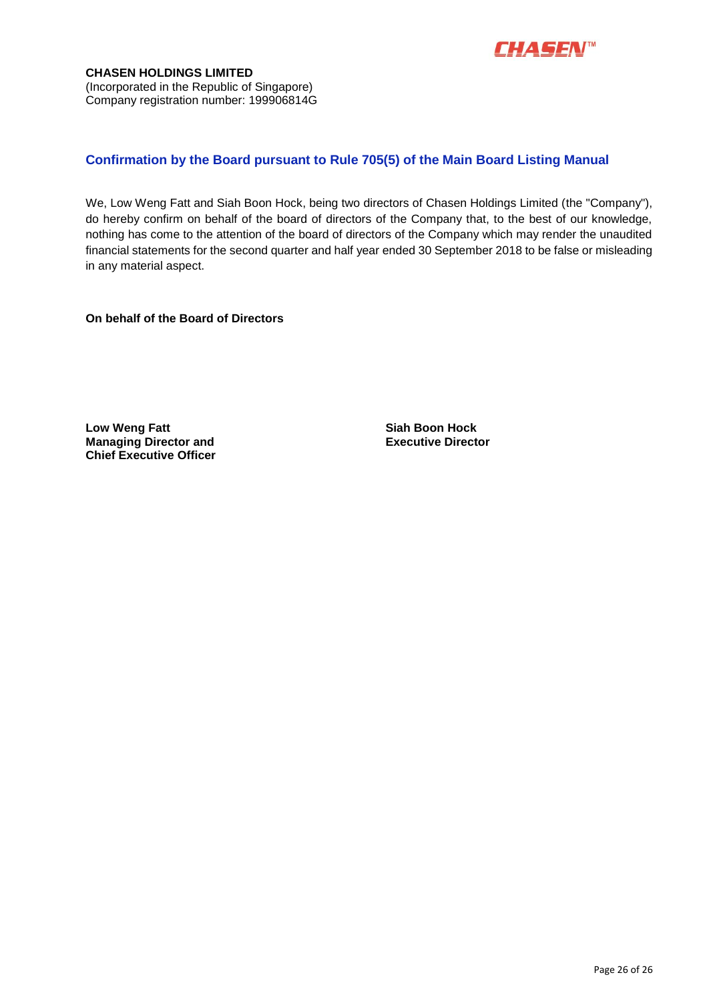

# **Confirmation by the Board pursuant to Rule 705(5) of the Main Board Listing Manual**

We, Low Weng Fatt and Siah Boon Hock, being two directors of Chasen Holdings Limited (the "Company"), do hereby confirm on behalf of the board of directors of the Company that, to the best of our knowledge, nothing has come to the attention of the board of directors of the Company which may render the unaudited financial statements for the second quarter and half year ended 30 September 2018 to be false or misleading in any material aspect.

**On behalf of the Board of Directors**

**Low Weng Fatt Siah Boon Hock Managing Director and Chief Executive Officer**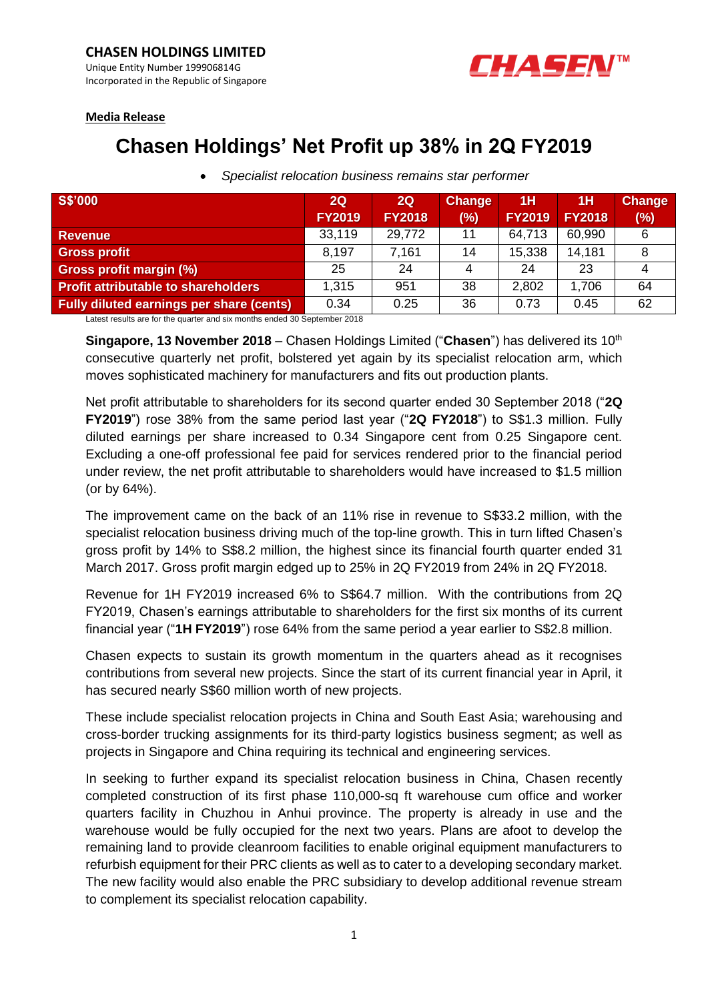

## **Media Release**

# **Chasen Holdings' Net Profit up 38% in 2Q FY2019**

| <b>S\$'000</b>                                  | 2Q            | 2Q            | <b>Change</b> | 1H            | 1H            | <b>Change</b> |
|-------------------------------------------------|---------------|---------------|---------------|---------------|---------------|---------------|
|                                                 | <b>FY2019</b> | <b>FY2018</b> | (%)           | <b>FY2019</b> | <b>FY2018</b> | (%)           |
| <b>Revenue</b>                                  | 33,119        | 29,772        | 11            | 64,713        | 60,990        | 6             |
| <b>Gross profit</b>                             | 8,197         | 7,161         | 14            | 15,338        | 14,181        |               |
| Gross profit margin (%)                         | 25            | 24            | 4             | 24            | 23            |               |
| Profit attributable to shareholders             | 1,315         | 951           | 38            | 2,802         | 1,706         | 64            |
| <b>Fully diluted earnings per share (cents)</b> | 0.34          | 0.25          | 36            | 0.73          | 0.45          | 62            |

• *Specialist relocation business remains star performer*

Latest results are for the quarter and six months ended 30 September 2018

**Singapore, 13 November 2018** – Chasen Holdings Limited ("Chasen") has delivered its 10<sup>th</sup> consecutive quarterly net profit, bolstered yet again by its specialist relocation arm, which moves sophisticated machinery for manufacturers and fits out production plants.

Net profit attributable to shareholders for its second quarter ended 30 September 2018 ("**2Q FY2019**") rose 38% from the same period last year ("**2Q FY2018**") to S\$1.3 million. Fully diluted earnings per share increased to 0.34 Singapore cent from 0.25 Singapore cent. Excluding a one-off professional fee paid for services rendered prior to the financial period under review, the net profit attributable to shareholders would have increased to \$1.5 million (or by 64%).

The improvement came on the back of an 11% rise in revenue to S\$33.2 million, with the specialist relocation business driving much of the top-line growth. This in turn lifted Chasen's gross profit by 14% to S\$8.2 million, the highest since its financial fourth quarter ended 31 March 2017. Gross profit margin edged up to 25% in 2Q FY2019 from 24% in 2Q FY2018.

Revenue for 1H FY2019 increased 6% to S\$64.7 million. With the contributions from 2Q FY2019, Chasen's earnings attributable to shareholders for the first six months of its current financial year ("**1H FY2019**") rose 64% from the same period a year earlier to S\$2.8 million.

Chasen expects to sustain its growth momentum in the quarters ahead as it recognises contributions from several new projects. Since the start of its current financial year in April, it has secured nearly S\$60 million worth of new projects.

These include specialist relocation projects in China and South East Asia; warehousing and cross-border trucking assignments for its third-party logistics business segment; as well as projects in Singapore and China requiring its technical and engineering services.

In seeking to further expand its specialist relocation business in China, Chasen recently completed construction of its first phase 110,000-sq ft warehouse cum office and worker quarters facility in Chuzhou in Anhui province. The property is already in use and the warehouse would be fully occupied for the next two years. Plans are afoot to develop the remaining land to provide cleanroom facilities to enable original equipment manufacturers to refurbish equipment for their PRC clients as well as to cater to a developing secondary market. The new facility would also enable the PRC subsidiary to develop additional revenue stream to complement its specialist relocation capability.